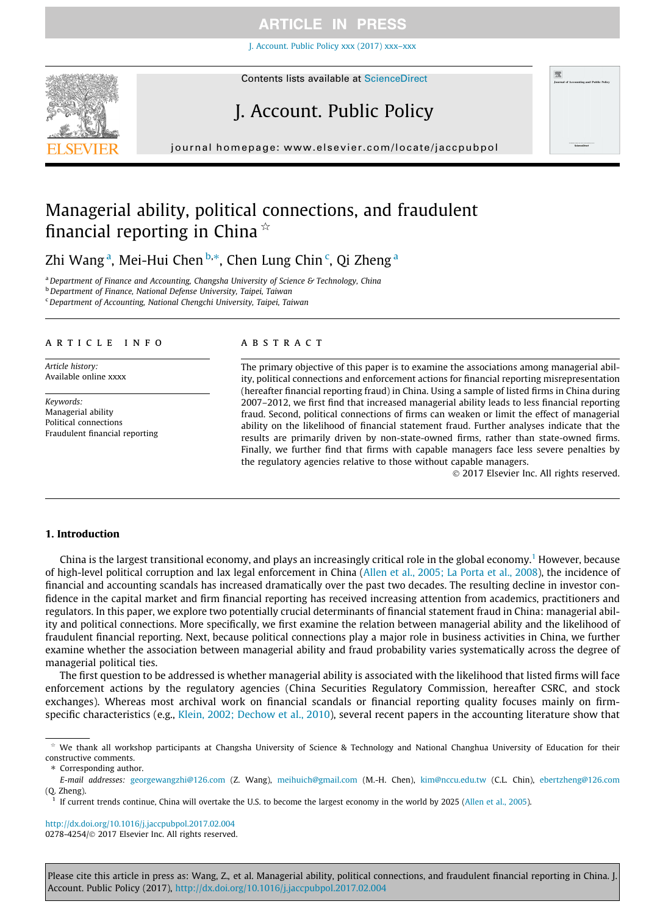[J. Account. Public Policy xxx \(2017\) xxx–xxx](http://dx.doi.org/10.1016/j.jaccpubpol.2017.02.004)



# J. Account. Public Policy

journal homepage: [www.elsevier.com/locate/jaccpubpol](http://www.elsevier.com/locate/jaccpubpol)

# Managerial ability, political connections, and fraudulent financial reporting in China  $\dot{\alpha}$

Zhi Wang<sup>a</sup>, Mei-Hui Chen <sup>b,</sup>\*, Chen Lung Chin <sup>c</sup>, Qi Zheng <sup>a</sup>

<sup>a</sup> Department of Finance and Accounting, Changsha University of Science & Technology, China

**b** Department of Finance, National Defense University, Taipei, Taiwan

<sup>c</sup>Department of Accounting, National Chengchi University, Taipei, Taiwan

### article info

Article history: Available online xxxx

Keywords: Managerial ability Political connections Fraudulent financial reporting

## **ABSTRACT**

The primary objective of this paper is to examine the associations among managerial ability, political connections and enforcement actions for financial reporting misrepresentation (hereafter financial reporting fraud) in China. Using a sample of listed firms in China during 2007–2012, we first find that increased managerial ability leads to less financial reporting fraud. Second, political connections of firms can weaken or limit the effect of managerial ability on the likelihood of financial statement fraud. Further analyses indicate that the results are primarily driven by non-state-owned firms, rather than state-owned firms. Finally, we further find that firms with capable managers face less severe penalties by the regulatory agencies relative to those without capable managers.

2017 Elsevier Inc. All rights reserved.

#### 1. Introduction

China is the largest transitional economy, and plays an increasingly critical role in the global economy.<sup>1</sup> However, because of high-level political corruption and lax legal enforcement in China [\(Allen et al., 2005; La Porta et al., 2008\)](#page-19-0), the incidence of financial and accounting scandals has increased dramatically over the past two decades. The resulting decline in investor confidence in the capital market and firm financial reporting has received increasing attention from academics, practitioners and regulators. In this paper, we explore two potentially crucial determinants of financial statement fraud in China: managerial ability and political connections. More specifically, we first examine the relation between managerial ability and the likelihood of fraudulent financial reporting. Next, because political connections play a major role in business activities in China, we further examine whether the association between managerial ability and fraud probability varies systematically across the degree of managerial political ties.

The first question to be addressed is whether managerial ability is associated with the likelihood that listed firms will face enforcement actions by the regulatory agencies (China Securities Regulatory Commission, hereafter CSRC, and stock exchanges). Whereas most archival work on financial scandals or financial reporting quality focuses mainly on firmspecific characteristics (e.g., [Klein, 2002; Dechow et al., 2010\)](#page-21-0), several recent papers in the accounting literature show that

<http://dx.doi.org/10.1016/j.jaccpubpol.2017.02.004> 0278-4254/ 2017 Elsevier Inc. All rights reserved.

 $*$  We thank all workshop participants at Changsha University of Science & Technology and National Changhua University of Education for their constructive comments.

<sup>⇑</sup> Corresponding author.

E-mail addresses: [georgewangzhi@126.com](mailto:georgewangzhi@126.com) (Z. Wang), [meihuich@gmail.com](mailto:meihuich@gmail.com) (M.-H. Chen), [kim@nccu.edu.tw](mailto:kim@nccu.edu.tw) (C.L. Chin), [ebertzheng@126.com](mailto:ebertzheng@126.com) (Q. Zheng).

If current trends continue, China will overtake the U.S. to become the largest economy in the world by 2025 [\(Allen et al., 2005\)](#page-19-0).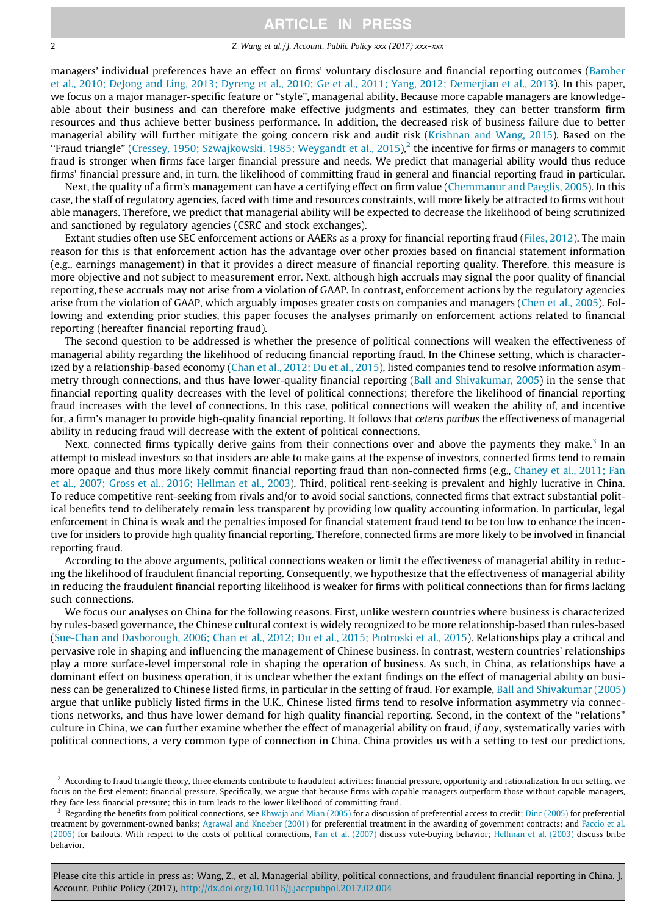2 2 Z. Wang et al. / J. Account. Public Policy xxx (2017) xxx–xxx

managers' individual preferences have an effect on firms' voluntary disclosure and financial reporting outcomes [\(Bamber](#page-20-0) [et al., 2010; DeJong and Ling, 2013; Dyreng et al., 2010; Ge et al., 2011; Yang, 2012; Demerjian et al., 2013\)](#page-20-0). In this paper, we focus on a major manager-specific feature or ''style", managerial ability. Because more capable managers are knowledgeable about their business and can therefore make effective judgments and estimates, they can better transform firm resources and thus achieve better business performance. In addition, the decreased risk of business failure due to better managerial ability will further mitigate the going concern risk and audit risk ([Krishnan and Wang, 2015\)](#page-21-0). Based on the "Fraud triangle" [\(Cressey, 1950; Szwajkowski, 1985; Weygandt et al., 2015\)](#page-20-0), the incentive for firms or managers to commit fraud is stronger when firms face larger financial pressure and needs. We predict that managerial ability would thus reduce firms' financial pressure and, in turn, the likelihood of committing fraud in general and financial reporting fraud in particular.

Next, the quality of a firm's management can have a certifying effect on firm value ([Chemmanur and Paeglis, 2005](#page-20-0)). In this case, the staff of regulatory agencies, faced with time and resources constraints, will more likely be attracted to firms without able managers. Therefore, we predict that managerial ability will be expected to decrease the likelihood of being scrutinized and sanctioned by regulatory agencies (CSRC and stock exchanges).

Extant studies often use SEC enforcement actions or AAERs as a proxy for financial reporting fraud [\(Files, 2012](#page-20-0)). The main reason for this is that enforcement action has the advantage over other proxies based on financial statement information (e.g., earnings management) in that it provides a direct measure of financial reporting quality. Therefore, this measure is more objective and not subject to measurement error. Next, although high accruals may signal the poor quality of financial reporting, these accruals may not arise from a violation of GAAP. In contrast, enforcement actions by the regulatory agencies arise from the violation of GAAP, which arguably imposes greater costs on companies and managers [\(Chen et al., 2005\)](#page-20-0). Following and extending prior studies, this paper focuses the analyses primarily on enforcement actions related to financial reporting (hereafter financial reporting fraud).

The second question to be addressed is whether the presence of political connections will weaken the effectiveness of managerial ability regarding the likelihood of reducing financial reporting fraud. In the Chinese setting, which is characterized by a relationship-based economy ([Chan et al., 2012; Du et al., 2015\)](#page-20-0), listed companies tend to resolve information asymmetry through connections, and thus have lower-quality financial reporting ([Ball and Shivakumar, 2005\)](#page-19-0) in the sense that financial reporting quality decreases with the level of political connections; therefore the likelihood of financial reporting fraud increases with the level of connections. In this case, political connections will weaken the ability of, and incentive for, a firm's manager to provide high-quality financial reporting. It follows that ceteris paribus the effectiveness of managerial ability in reducing fraud will decrease with the extent of political connections.

Next, connected firms typically derive gains from their connections over and above the payments they make.<sup>3</sup> In an attempt to mislead investors so that insiders are able to make gains at the expense of investors, connected firms tend to remain more opaque and thus more likely commit financial reporting fraud than non-connected firms (e.g., [Chaney et al., 2011; Fan](#page-20-0) [et al., 2007; Gross et al., 2016; Hellman et al., 2003\)](#page-20-0). Third, political rent-seeking is prevalent and highly lucrative in China. To reduce competitive rent-seeking from rivals and/or to avoid social sanctions, connected firms that extract substantial political benefits tend to deliberately remain less transparent by providing low quality accounting information. In particular, legal enforcement in China is weak and the penalties imposed for financial statement fraud tend to be too low to enhance the incentive for insiders to provide high quality financial reporting. Therefore, connected firms are more likely to be involved in financial reporting fraud.

According to the above arguments, political connections weaken or limit the effectiveness of managerial ability in reducing the likelihood of fraudulent financial reporting. Consequently, we hypothesize that the effectiveness of managerial ability in reducing the fraudulent financial reporting likelihood is weaker for firms with political connections than for firms lacking such connections.

We focus our analyses on China for the following reasons. First, unlike western countries where business is characterized by rules-based governance, the Chinese cultural context is widely recognized to be more relationship-based than rules-based [\(Sue-Chan and Dasborough, 2006; Chan et al., 2012; Du et al., 2015; Piotroski et al., 2015](#page-21-0)). Relationships play a critical and pervasive role in shaping and influencing the management of Chinese business. In contrast, western countries' relationships play a more surface-level impersonal role in shaping the operation of business. As such, in China, as relationships have a dominant effect on business operation, it is unclear whether the extant findings on the effect of managerial ability on business can be generalized to Chinese listed firms, in particular in the setting of fraud. For example, [Ball and Shivakumar \(2005\)](#page-19-0) argue that unlike publicly listed firms in the U.K., Chinese listed firms tend to resolve information asymmetry via connections networks, and thus have lower demand for high quality financial reporting. Second, in the context of the ''relations" culture in China, we can further examine whether the effect of managerial ability on fraud, if any, systematically varies with political connections, a very common type of connection in China. China provides us with a setting to test our predictions.

 $<sup>2</sup>$  According to fraud triangle theory, three elements contribute to fraudulent activities: financial pressure, opportunity and rationalization. In our setting, we</sup> focus on the first element: financial pressure. Specifically, we argue that because firms with capable managers outperform those without capable managers, they face less financial pressure; this in turn leads to the lower likelihood of committing fraud.

<sup>&</sup>lt;sup>3</sup> Regarding the benefits from political connections, see [Khwaja and Mian \(2005\)](#page-21-0) for a discussion of preferential access to credit; [Dinc \(2005\)](#page-20-0) for preferential treatment by government-owned banks; [Agrawal and Knoeber \(2001\)](#page-19-0) for preferential treatment in the awarding of government contracts; and [Faccio et al.](#page-20-0) [\(2006\)](#page-20-0) for bailouts. With respect to the costs of political connections, [Fan et al. \(2007\)](#page-20-0) discuss vote-buying behavior; [Hellman et al. \(2003\)](#page-20-0) discuss bribe behavior.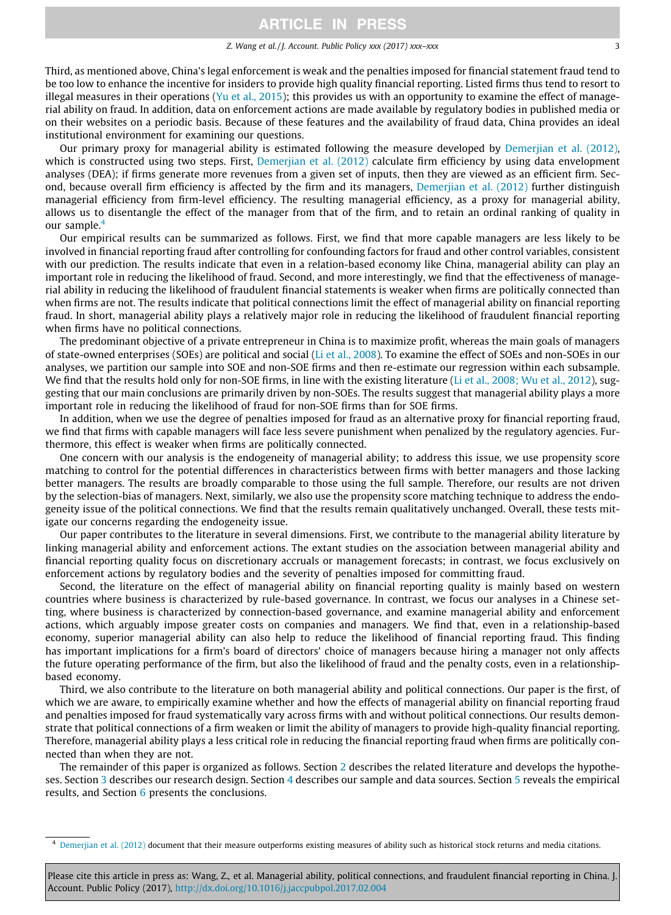#### Z. Wang et al. / J. Account. Public Policy xxx (2017) xxx–xxx 3

Third, as mentioned above, China's legal enforcement is weak and the penalties imposed for financial statement fraud tend to be too low to enhance the incentive for insiders to provide high quality financial reporting. Listed firms thus tend to resort to illegal measures in their operations ([Yu et al., 2015](#page-21-0)); this provides us with an opportunity to examine the effect of managerial ability on fraud. In addition, data on enforcement actions are made available by regulatory bodies in published media or on their websites on a periodic basis. Because of these features and the availability of fraud data, China provides an ideal institutional environment for examining our questions.

Our primary proxy for managerial ability is estimated following the measure developed by [Demerjian et al. \(2012\)](#page-20-0), which is constructed using two steps. First, [Demerjian et al. \(2012\)](#page-20-0) calculate firm efficiency by using data envelopment analyses (DEA); if firms generate more revenues from a given set of inputs, then they are viewed as an efficient firm. Second, because overall firm efficiency is affected by the firm and its managers, [Demerjian et al. \(2012\)](#page-20-0) further distinguish managerial efficiency from firm-level efficiency. The resulting managerial efficiency, as a proxy for managerial ability, allows us to disentangle the effect of the manager from that of the firm, and to retain an ordinal ranking of quality in our sample.<sup>4</sup>

Our empirical results can be summarized as follows. First, we find that more capable managers are less likely to be involved in financial reporting fraud after controlling for confounding factors for fraud and other control variables, consistent with our prediction. The results indicate that even in a relation-based economy like China, managerial ability can play an important role in reducing the likelihood of fraud. Second, and more interestingly, we find that the effectiveness of managerial ability in reducing the likelihood of fraudulent financial statements is weaker when firms are politically connected than when firms are not. The results indicate that political connections limit the effect of managerial ability on financial reporting fraud. In short, managerial ability plays a relatively major role in reducing the likelihood of fraudulent financial reporting when firms have no political connections.

The predominant objective of a private entrepreneur in China is to maximize profit, whereas the main goals of managers of state-owned enterprises (SOEs) are political and social ([Li et al., 2008\)](#page-21-0). To examine the effect of SOEs and non-SOEs in our analyses, we partition our sample into SOE and non-SOE firms and then re-estimate our regression within each subsample. We find that the results hold only for non-SOE firms, in line with the existing literature ([Li et al., 2008; Wu et al., 2012\)](#page-21-0), suggesting that our main conclusions are primarily driven by non-SOEs. The results suggest that managerial ability plays a more important role in reducing the likelihood of fraud for non-SOE firms than for SOE firms.

In addition, when we use the degree of penalties imposed for fraud as an alternative proxy for financial reporting fraud, we find that firms with capable managers will face less severe punishment when penalized by the regulatory agencies. Furthermore, this effect is weaker when firms are politically connected.

One concern with our analysis is the endogeneity of managerial ability; to address this issue, we use propensity score matching to control for the potential differences in characteristics between firms with better managers and those lacking better managers. The results are broadly comparable to those using the full sample. Therefore, our results are not driven by the selection-bias of managers. Next, similarly, we also use the propensity score matching technique to address the endogeneity issue of the political connections. We find that the results remain qualitatively unchanged. Overall, these tests mitigate our concerns regarding the endogeneity issue.

Our paper contributes to the literature in several dimensions. First, we contribute to the managerial ability literature by linking managerial ability and enforcement actions. The extant studies on the association between managerial ability and financial reporting quality focus on discretionary accruals or management forecasts; in contrast, we focus exclusively on enforcement actions by regulatory bodies and the severity of penalties imposed for committing fraud.

Second, the literature on the effect of managerial ability on financial reporting quality is mainly based on western countries where business is characterized by rule-based governance. In contrast, we focus our analyses in a Chinese setting, where business is characterized by connection-based governance, and examine managerial ability and enforcement actions, which arguably impose greater costs on companies and managers. We find that, even in a relationship-based economy, superior managerial ability can also help to reduce the likelihood of financial reporting fraud. This finding has important implications for a firm's board of directors' choice of managers because hiring a manager not only affects the future operating performance of the firm, but also the likelihood of fraud and the penalty costs, even in a relationshipbased economy.

Third, we also contribute to the literature on both managerial ability and political connections. Our paper is the first, of which we are aware, to empirically examine whether and how the effects of managerial ability on financial reporting fraud and penalties imposed for fraud systematically vary across firms with and without political connections. Our results demonstrate that political connections of a firm weaken or limit the ability of managers to provide high-quality financial reporting. Therefore, managerial ability plays a less critical role in reducing the financial reporting fraud when firms are politically connected than when they are not.

The remainder of this paper is organized as follows. Section [2](#page-3-0) describes the related literature and develops the hypotheses. Section [3](#page-6-0) describes our research design. Section [4](#page-9-0) describes our sample and data sources. Section [5](#page-9-0) reveals the empirical results, and Section [6](#page-19-0) presents the conclusions.

<sup>4</sup> [Demerjian et al. \(2012\)](#page-20-0) document that their measure outperforms existing measures of ability such as historical stock returns and media citations.

Please cite this article in press as: Wang, Z., et al. Managerial ability, political connections, and fraudulent financial reporting in China. J Account. Public Policy (2017), <http://dx.doi.org/10.1016/j.jaccpubpol.2017.02.004>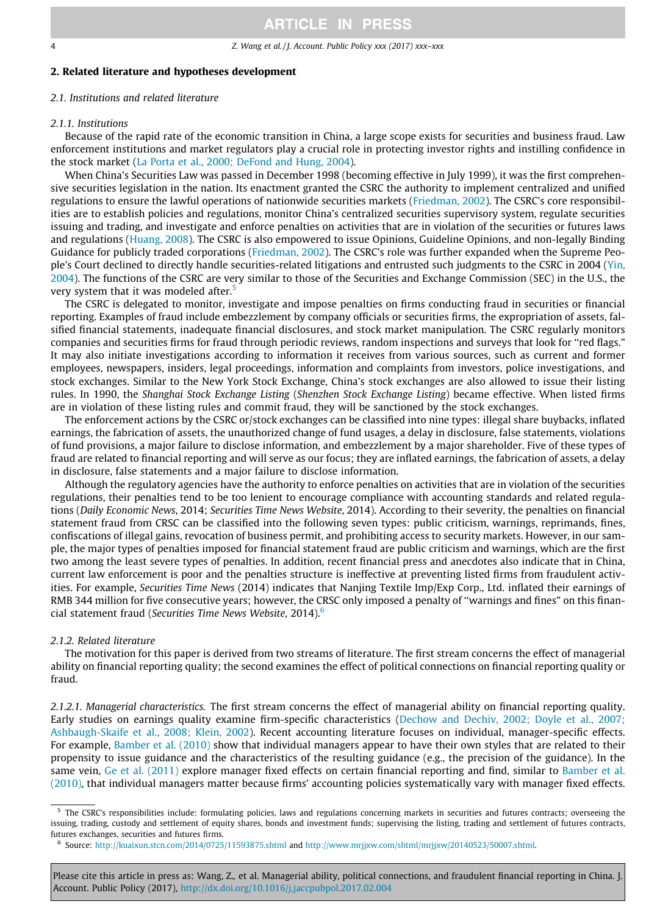### <span id="page-3-0"></span>2. Related literature and hypotheses development

## 2.1. Institutions and related literature

#### 2.1.1. Institutions

Because of the rapid rate of the economic transition in China, a large scope exists for securities and business fraud. Law enforcement institutions and market regulators play a crucial role in protecting investor rights and instilling confidence in the stock market [\(La Porta et al., 2000; DeFond and Hung, 2004\)](#page-21-0).

When China's Securities Law was passed in December 1998 (becoming effective in July 1999), it was the first comprehensive securities legislation in the nation. Its enactment granted the CSRC the authority to implement centralized and unified regulations to ensure the lawful operations of nationwide securities markets [\(Friedman, 2002](#page-20-0)). The CSRC's core responsibilities are to establish policies and regulations, monitor China's centralized securities supervisory system, regulate securities issuing and trading, and investigate and enforce penalties on activities that are in violation of the securities or futures laws and regulations [\(Huang, 2008](#page-20-0)). The CSRC is also empowered to issue Opinions, Guideline Opinions, and non-legally Binding Guidance for publicly traded corporations ([Friedman, 2002\)](#page-20-0). The CSRC's role was further expanded when the Supreme People's Court declined to directly handle securities-related litigations and entrusted such judgments to the CSRC in 2004 [\(Yin,](#page-21-0) [2004](#page-21-0)). The functions of the CSRC are very similar to those of the Securities and Exchange Commission (SEC) in the U.S., the very system that it was modeled after.<sup>5</sup>

The CSRC is delegated to monitor, investigate and impose penalties on firms conducting fraud in securities or financial reporting. Examples of fraud include embezzlement by company officials or securities firms, the expropriation of assets, falsified financial statements, inadequate financial disclosures, and stock market manipulation. The CSRC regularly monitors companies and securities firms for fraud through periodic reviews, random inspections and surveys that look for ''red flags." It may also initiate investigations according to information it receives from various sources, such as current and former employees, newspapers, insiders, legal proceedings, information and complaints from investors, police investigations, and stock exchanges. Similar to the New York Stock Exchange, China's stock exchanges are also allowed to issue their listing rules. In 1990, the Shanghai Stock Exchange Listing (Shenzhen Stock Exchange Listing) became effective. When listed firms are in violation of these listing rules and commit fraud, they will be sanctioned by the stock exchanges.

The enforcement actions by the CSRC or/stock exchanges can be classified into nine types: illegal share buybacks, inflated earnings, the fabrication of assets, the unauthorized change of fund usages, a delay in disclosure, false statements, violations of fund provisions, a major failure to disclose information, and embezzlement by a major shareholder. Five of these types of fraud are related to financial reporting and will serve as our focus; they are inflated earnings, the fabrication of assets, a delay in disclosure, false statements and a major failure to disclose information.

Although the regulatory agencies have the authority to enforce penalties on activities that are in violation of the securities regulations, their penalties tend to be too lenient to encourage compliance with accounting standards and related regulations (Daily Economic News, 2014; Securities Time News Website, 2014). According to their severity, the penalties on financial statement fraud from CRSC can be classified into the following seven types: public criticism, warnings, reprimands, fines, confiscations of illegal gains, revocation of business permit, and prohibiting access to security markets. However, in our sample, the major types of penalties imposed for financial statement fraud are public criticism and warnings, which are the first two among the least severe types of penalties. In addition, recent financial press and anecdotes also indicate that in China, current law enforcement is poor and the penalties structure is ineffective at preventing listed firms from fraudulent activities. For example, Securities Time News (2014) indicates that Nanjing Textile Imp/Exp Corp., Ltd. inflated their earnings of RMB 344 million for five consecutive years; however, the CRSC only imposed a penalty of ''warnings and fines" on this financial statement fraud (Securities Time News Website, 2014).<sup>6</sup>

## 2.1.2. Related literature

The motivation for this paper is derived from two streams of literature. The first stream concerns the effect of managerial ability on financial reporting quality; the second examines the effect of political connections on financial reporting quality or fraud.

2.1.2.1. Managerial characteristics. The first stream concerns the effect of managerial ability on financial reporting quality. Early studies on earnings quality examine firm-specific characteristics [\(Dechow and Dechiv, 2002; Doyle et al., 2007;](#page-20-0) [Ashbaugh-Skaife et al., 2008; Klein, 2002](#page-20-0)). Recent accounting literature focuses on individual, manager-specific effects. For example, [Bamber et al. \(2010\)](#page-20-0) show that individual managers appear to have their own styles that are related to their propensity to issue guidance and the characteristics of the resulting guidance (e.g., the precision of the guidance). In the same vein, [Ge et al. \(2011\)](#page-20-0) explore manager fixed effects on certain financial reporting and find, similar to [Bamber et al.](#page-20-0) [\(2010\)](#page-20-0), that individual managers matter because firms' accounting policies systematically vary with manager fixed effects.

<sup>5</sup> The CSRC's responsibilities include: formulating policies, laws and regulations concerning markets in securities and futures contracts; overseeing the issuing, trading, custody and settlement of equity shares, bonds and investment funds; supervising the listing, trading and settlement of futures contracts, futures exchanges, securities and futures firms.

<sup>6</sup> Source: <http://kuaixun.stcn.com/2014/0725/11593875.shtml> and <http://www.mrjjxw.com/shtml/mrjjxw/20140523/50007.shtml>.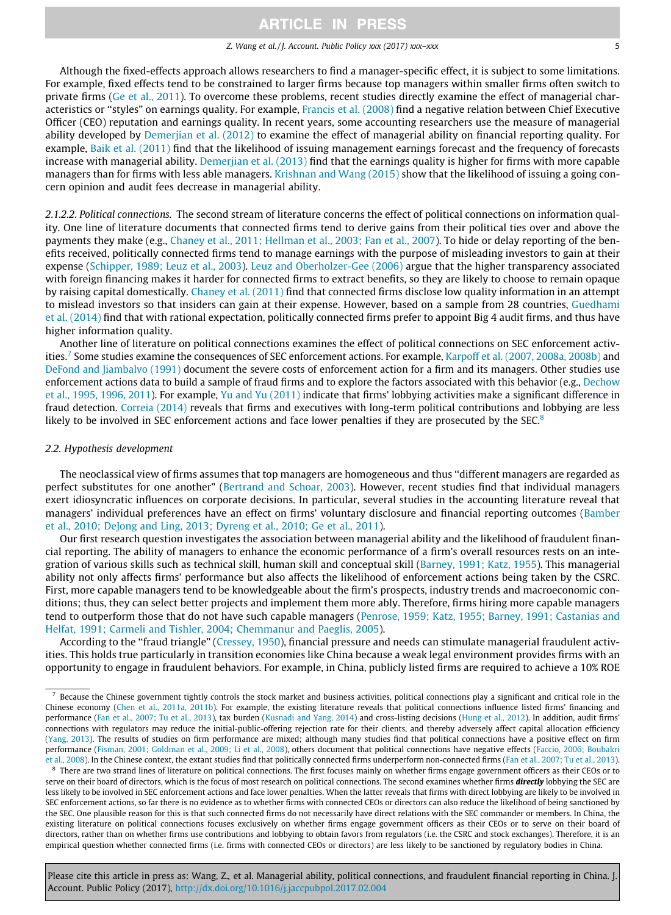#### Z. Wang et al. / J. Account. Public Policy xxx (2017) xxx–xxx 5

Although the fixed-effects approach allows researchers to find a manager-specific effect, it is subject to some limitations. For example, fixed effects tend to be constrained to larger firms because top managers within smaller firms often switch to private firms [\(Ge et al., 2011](#page-20-0)). To overcome these problems, recent studies directly examine the effect of managerial characteristics or ''styles" on earnings quality. For example, [Francis et al. \(2008\)](#page-20-0) find a negative relation between Chief Executive Officer (CEO) reputation and earnings quality. In recent years, some accounting researchers use the measure of managerial ability developed by [Demerjian et al. \(2012\)](#page-20-0) to examine the effect of managerial ability on financial reporting quality. For example, [Baik et al. \(2011\)](#page-20-0) find that the likelihood of issuing management earnings forecast and the frequency of forecasts increase with managerial ability. [Demerjian et al. \(2013\)](#page-20-0) find that the earnings quality is higher for firms with more capable managers than for firms with less able managers. [Krishnan and Wang \(2015\)](#page-21-0) show that the likelihood of issuing a going concern opinion and audit fees decrease in managerial ability.

2.1.2.2. Political connections. The second stream of literature concerns the effect of political connections on information quality. One line of literature documents that connected firms tend to derive gains from their political ties over and above the payments they make (e.g., [Chaney et al., 2011; Hellman et al., 2003; Fan et al., 2007](#page-20-0)). To hide or delay reporting of the benefits received, politically connected firms tend to manage earnings with the purpose of misleading investors to gain at their expense [\(Schipper, 1989; Leuz et al., 2003](#page-21-0)). [Leuz and Oberholzer-Gee \(2006\)](#page-21-0) argue that the higher transparency associated with foreign financing makes it harder for connected firms to extract benefits, so they are likely to choose to remain opaque by raising capital domestically. [Chaney et al. \(2011\)](#page-20-0) find that connected firms disclose low quality information in an attempt to mislead investors so that insiders can gain at their expense. However, based on a sample from 28 countries, [Guedhami](#page-20-0) [et al. \(2014\)](#page-20-0) find that with rational expectation, politically connected firms prefer to appoint Big 4 audit firms, and thus have higher information quality.

Another line of literature on political connections examines the effect of political connections on SEC enforcement activ-ities.<sup>7</sup> Some studies examine the consequences of SEC enforcement actions. For example, [Karpoff et al. \(2007, 2008a, 2008b\)](#page-21-0) and [DeFond and Jiambalvo \(1991\)](#page-20-0) document the severe costs of enforcement action for a firm and its managers. Other studies use enforcement actions data to build a sample of fraud firms and to explore the factors associated with this behavior (e.g., [Dechow](#page-20-0) [et al., 1995, 1996, 2011\)](#page-20-0). For example, [Yu and Yu \(2011\)](#page-21-0) indicate that firms' lobbying activities make a significant difference in fraud detection. [Correia \(2014\)](#page-20-0) reveals that firms and executives with long-term political contributions and lobbying are less likely to be involved in SEC enforcement actions and face lower penalties if they are prosecuted by the SEC.<sup>8</sup>

### 2.2. Hypothesis development

The neoclassical view of firms assumes that top managers are homogeneous and thus ''different managers are regarded as perfect substitutes for one another" [\(Bertrand and Schoar, 2003](#page-20-0)). However, recent studies find that individual managers exert idiosyncratic influences on corporate decisions. In particular, several studies in the accounting literature reveal that managers' individual preferences have an effect on firms' voluntary disclosure and financial reporting outcomes ([Bamber](#page-20-0) [et al., 2010; DeJong and Ling, 2013; Dyreng et al., 2010; Ge et al., 2011\)](#page-20-0).

Our first research question investigates the association between managerial ability and the likelihood of fraudulent financial reporting. The ability of managers to enhance the economic performance of a firm's overall resources rests on an integration of various skills such as technical skill, human skill and conceptual skill [\(Barney, 1991; Katz, 1955\)](#page-20-0). This managerial ability not only affects firms' performance but also affects the likelihood of enforcement actions being taken by the CSRC. First, more capable managers tend to be knowledgeable about the firm's prospects, industry trends and macroeconomic conditions; thus, they can select better projects and implement them more ably. Therefore, firms hiring more capable managers tend to outperform those that do not have such capable managers ([Penrose, 1959; Katz, 1955; Barney, 1991; Castanias and](#page-21-0) [Helfat, 1991; Carmeli and Tishler, 2004; Chemmanur and Paeglis, 2005\)](#page-21-0).

According to the ''fraud triangle" ([Cressey, 1950](#page-20-0)), financial pressure and needs can stimulate managerial fraudulent activities. This holds true particularly in transition economies like China because a weak legal environment provides firms with an opportunity to engage in fraudulent behaviors. For example, in China, publicly listed firms are required to achieve a 10% ROE

Because the Chinese government tightly controls the stock market and business activities, political connections play a significant and critical role in the Chinese economy ([Chen et al., 2011a, 2011b\)](#page-20-0). For example, the existing literature reveals that political connections influence listed firms' financing and performance ([Fan et al., 2007; Tu et al., 2013](#page-20-0)), tax burden [\(Kusnadi and Yang, 2014](#page-21-0)) and cross-listing decisions [\(Hung et al., 2012](#page-21-0)). In addition, audit firms' connections with regulators may reduce the initial-public-offering rejection rate for their clients, and thereby adversely affect capital allocation efficiency [\(Yang, 2013\)](#page-21-0). The results of studies on firm performance are mixed; although many studies find that political connections have a positive effect on firm performance ([Fisman, 2001; Goldman et al., 2009; Li et al., 2008\)](#page-20-0), others document that political connections have negative effects [\(Faccio, 2006; Boubakri](#page-20-0) [et al., 2008\)](#page-20-0). In the Chinese context, the extant studies find that politically connected firms underperform non-connected firms ([Fan et al., 2007; Tu et al., 2013](#page-20-0)).

<sup>&</sup>lt;sup>8</sup> There are two strand lines of literature on political connections. The first focuses mainly on whether firms engage government officers as their CEOs or to serve on their board of directors, which is the focus of most research on political connections. The second examines whether firms **directly** lobbying the SEC are less likely to be involved in SEC enforcement actions and face lower penalties. When the latter reveals that firms with direct lobbying are likely to be involved in SEC enforcement actions, so far there is no evidence as to whether firms with connected CEOs or directors can also reduce the likelihood of being sanctioned by the SEC. One plausible reason for this is that such connected firms do not necessarily have direct relations with the SEC commander or members. In China, the existing literature on political connections focuses exclusively on whether firms engage government officers as their CEOs or to serve on their board of directors, rather than on whether firms use contributions and lobbying to obtain favors from regulators (i.e. the CSRC and stock exchanges). Therefore, it is an empirical question whether connected firms (i.e. firms with connected CEOs or directors) are less likely to be sanctioned by regulatory bodies in China.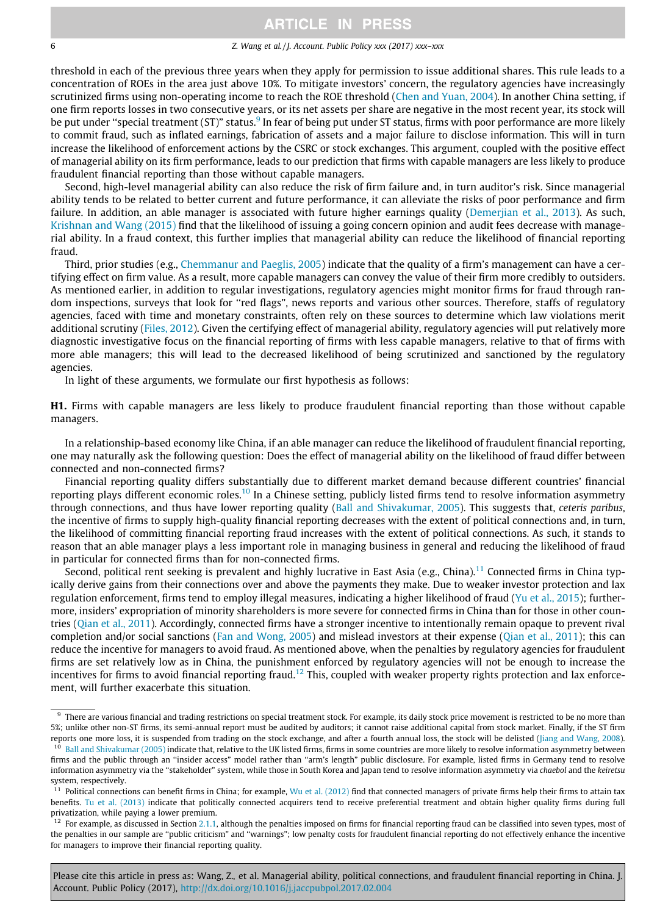#### 6 Z. Wang et al. / J. Account. Public Policy xxx (2017) xxx–xxx

threshold in each of the previous three years when they apply for permission to issue additional shares. This rule leads to a concentration of ROEs in the area just above 10%. To mitigate investors' concern, the regulatory agencies have increasingly scrutinized firms using non-operating income to reach the ROE threshold [\(Chen and Yuan, 2004\)](#page-20-0). In another China setting, if one firm reports losses in two consecutive years, or its net assets per share are negative in the most recent year, its stock will be put under "special treatment (ST)" status.<sup>9</sup> In fear of being put under ST status, firms with poor performance are more likely to commit fraud, such as inflated earnings, fabrication of assets and a major failure to disclose information. This will in turn increase the likelihood of enforcement actions by the CSRC or stock exchanges. This argument, coupled with the positive effect of managerial ability on its firm performance, leads to our prediction that firms with capable managers are less likely to produce fraudulent financial reporting than those without capable managers.

Second, high-level managerial ability can also reduce the risk of firm failure and, in turn auditor's risk. Since managerial ability tends to be related to better current and future performance, it can alleviate the risks of poor performance and firm failure. In addition, an able manager is associated with future higher earnings quality [\(Demerjian et al., 2013](#page-20-0)). As such, [Krishnan and Wang \(2015\)](#page-21-0) find that the likelihood of issuing a going concern opinion and audit fees decrease with managerial ability. In a fraud context, this further implies that managerial ability can reduce the likelihood of financial reporting fraud.

Third, prior studies (e.g., [Chemmanur and Paeglis, 2005\)](#page-20-0) indicate that the quality of a firm's management can have a certifying effect on firm value. As a result, more capable managers can convey the value of their firm more credibly to outsiders. As mentioned earlier, in addition to regular investigations, regulatory agencies might monitor firms for fraud through random inspections, surveys that look for ''red flags", news reports and various other sources. Therefore, staffs of regulatory agencies, faced with time and monetary constraints, often rely on these sources to determine which law violations merit additional scrutiny [\(Files, 2012\)](#page-20-0). Given the certifying effect of managerial ability, regulatory agencies will put relatively more diagnostic investigative focus on the financial reporting of firms with less capable managers, relative to that of firms with more able managers; this will lead to the decreased likelihood of being scrutinized and sanctioned by the regulatory agencies.

In light of these arguments, we formulate our first hypothesis as follows:

H1. Firms with capable managers are less likely to produce fraudulent financial reporting than those without capable managers.

In a relationship-based economy like China, if an able manager can reduce the likelihood of fraudulent financial reporting, one may naturally ask the following question: Does the effect of managerial ability on the likelihood of fraud differ between connected and non-connected firms?

Financial reporting quality differs substantially due to different market demand because different countries' financial reporting plays different economic roles.<sup>10</sup> In a Chinese setting, publicly listed firms tend to resolve information asymmetry through connections, and thus have lower reporting quality ([Ball and Shivakumar, 2005](#page-19-0)). This suggests that, ceteris paribus, the incentive of firms to supply high-quality financial reporting decreases with the extent of political connections and, in turn, the likelihood of committing financial reporting fraud increases with the extent of political connections. As such, it stands to reason that an able manager plays a less important role in managing business in general and reducing the likelihood of fraud in particular for connected firms than for non-connected firms.

Second, political rent seeking is prevalent and highly lucrative in East Asia (e.g., China).<sup>11</sup> Connected firms in China typically derive gains from their connections over and above the payments they make. Due to weaker investor protection and lax regulation enforcement, firms tend to employ illegal measures, indicating a higher likelihood of fraud [\(Yu et al., 2015](#page-21-0)); furthermore, insiders' expropriation of minority shareholders is more severe for connected firms in China than for those in other countries ([Qian et al., 2011\)](#page-21-0). Accordingly, connected firms have a stronger incentive to intentionally remain opaque to prevent rival completion and/or social sanctions [\(Fan and Wong, 2005](#page-20-0)) and mislead investors at their expense ([Qian et al., 2011\)](#page-21-0); this can reduce the incentive for managers to avoid fraud. As mentioned above, when the penalties by regulatory agencies for fraudulent firms are set relatively low as in China, the punishment enforced by regulatory agencies will not be enough to increase the incentives for firms to avoid financial reporting fraud.<sup>12</sup> This, coupled with weaker property rights protection and lax enforcement, will further exacerbate this situation.

<sup>&</sup>lt;sup>9</sup> There are various financial and trading restrictions on special treatment stock. For example, its daily stock price movement is restricted to be no more than 5%; unlike other non-ST firms, its semi-annual report must be audited by auditors; it cannot raise additional capital from stock market. Finally, if the ST firm reports one more loss, it is suspended from trading on the stock exchange, and after a fourth annual loss, the stock will be delisted [\(Jiang and Wang, 2008](#page-21-0)). [Ball and Shivakumar \(2005\)](#page-19-0) indicate that, relative to the UK listed firms, firms in some countries are more likely to resolve information asymmetry between firms and the public through an ''insider access" model rather than ''arm's length" public disclosure. For example, listed firms in Germany tend to resolve information asymmetry via the "stakeholder" system, while those in South Korea and Japan tend to resolve information asymmetry via chaebol and the keiretsu system, respectively.

<sup>&</sup>lt;sup>11</sup> Political connections can benefit firms in China; for example, [Wu et al. \(2012\)](#page-21-0) find that connected managers of private firms help their firms to attain tax benefits. [Tu et al. \(2013\)](#page-21-0) indicate that politically connected acquirers tend to receive preferential treatment and obtain higher quality firms during full privatization, while paying a lower premium.

 $12$  For example, as discussed in Section [2.1.1,](#page-3-0) although the penalties imposed on firms for financial reporting fraud can be classified into seven types, most of the penalties in our sample are ''public criticism" and ''warnings"; low penalty costs for fraudulent financial reporting do not effectively enhance the incentive for managers to improve their financial reporting quality.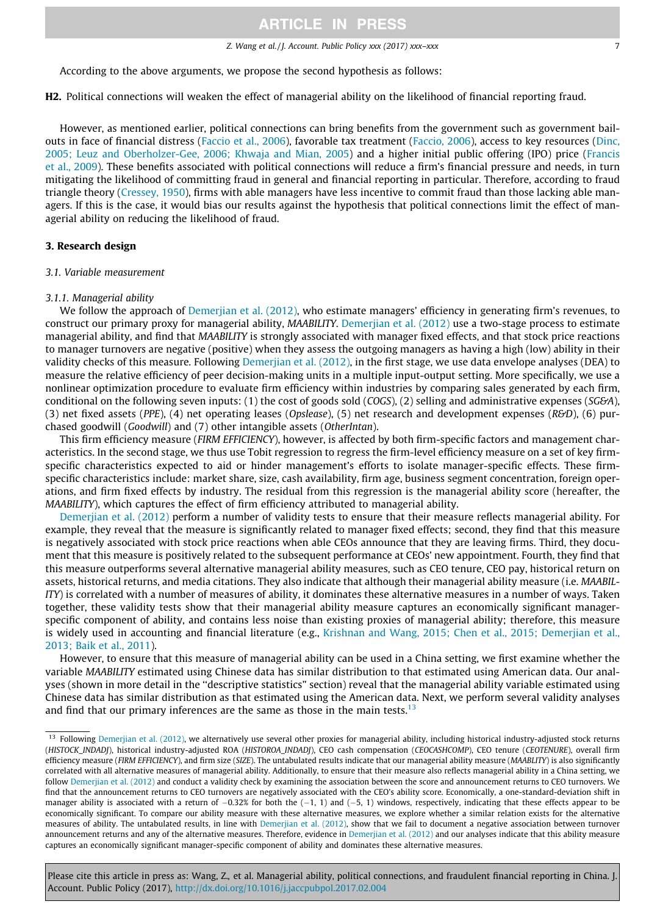#### Z. Wang et al. / J. Account. Public Policy xxx (2017) xxx–xxx 7

<span id="page-6-0"></span>According to the above arguments, we propose the second hypothesis as follows:

H2. Political connections will weaken the effect of managerial ability on the likelihood of financial reporting fraud.

However, as mentioned earlier, political connections can bring benefits from the government such as government bailouts in face of financial distress ([Faccio et al., 2006\)](#page-20-0), favorable tax treatment [\(Faccio, 2006](#page-20-0)), access to key resources ([Dinc,](#page-20-0) [2005; Leuz and Oberholzer-Gee, 2006; Khwaja and Mian, 2005](#page-20-0)) and a higher initial public offering (IPO) price [\(Francis](#page-20-0) [et al., 2009](#page-20-0)). These benefits associated with political connections will reduce a firm's financial pressure and needs, in turn mitigating the likelihood of committing fraud in general and financial reporting in particular. Therefore, according to fraud triangle theory [\(Cressey, 1950](#page-20-0)), firms with able managers have less incentive to commit fraud than those lacking able managers. If this is the case, it would bias our results against the hypothesis that political connections limit the effect of managerial ability on reducing the likelihood of fraud.

## 3. Research design

## 3.1. Variable measurement

#### 3.1.1. Managerial ability

We follow the approach of [Demerjian et al. \(2012\)](#page-20-0), who estimate managers' efficiency in generating firm's revenues, to construct our primary proxy for managerial ability, MAABILITY. [Demerjian et al. \(2012\)](#page-20-0) use a two-stage process to estimate managerial ability, and find that MAABILITY is strongly associated with manager fixed effects, and that stock price reactions to manager turnovers are negative (positive) when they assess the outgoing managers as having a high (low) ability in their validity checks of this measure. Following [Demerjian et al. \(2012\)](#page-20-0), in the first stage, we use data envelope analyses (DEA) to measure the relative efficiency of peer decision-making units in a multiple input-output setting. More specifically, we use a nonlinear optimization procedure to evaluate firm efficiency within industries by comparing sales generated by each firm, conditional on the following seven inputs: (1) the cost of goods sold (COGS), (2) selling and administrative expenses (SG&A), (3) net fixed assets (PPE), (4) net operating leases (Opslease), (5) net research and development expenses (R&D), (6) purchased goodwill (Goodwill) and (7) other intangible assets (OtherIntan).

This firm efficiency measure (FIRM EFFICIENCY), however, is affected by both firm-specific factors and management characteristics. In the second stage, we thus use Tobit regression to regress the firm-level efficiency measure on a set of key firmspecific characteristics expected to aid or hinder management's efforts to isolate manager-specific effects. These firmspecific characteristics include: market share, size, cash availability, firm age, business segment concentration, foreign operations, and firm fixed effects by industry. The residual from this regression is the managerial ability score (hereafter, the MAABILITY), which captures the effect of firm efficiency attributed to managerial ability.

[Demerjian et al. \(2012\)](#page-20-0) perform a number of validity tests to ensure that their measure reflects managerial ability. For example, they reveal that the measure is significantly related to manager fixed effects; second, they find that this measure is negatively associated with stock price reactions when able CEOs announce that they are leaving firms. Third, they document that this measure is positively related to the subsequent performance at CEOs' new appointment. Fourth, they find that this measure outperforms several alternative managerial ability measures, such as CEO tenure, CEO pay, historical return on assets, historical returns, and media citations. They also indicate that although their managerial ability measure (i.e. MAABIL-ITY) is correlated with a number of measures of ability, it dominates these alternative measures in a number of ways. Taken together, these validity tests show that their managerial ability measure captures an economically significant managerspecific component of ability, and contains less noise than existing proxies of managerial ability; therefore, this measure is widely used in accounting and financial literature (e.g., [Krishnan and Wang, 2015; Chen et al., 2015; Demerjian et al.,](#page-21-0) [2013; Baik et al., 2011](#page-21-0)).

However, to ensure that this measure of managerial ability can be used in a China setting, we first examine whether the variable MAABILITY estimated using Chinese data has similar distribution to that estimated using American data. Our analyses (shown in more detail in the ''descriptive statistics" section) reveal that the managerial ability variable estimated using Chinese data has similar distribution as that estimated using the American data. Next, we perform several validity analyses and find that our primary inferences are the same as those in the main tests.<sup>13</sup>

<sup>&</sup>lt;sup>13</sup> Following [Demerjian et al. \(2012\),](#page-20-0) we alternatively use several other proxies for managerial ability, including historical industry-adjusted stock returns (HISTOCK\_INDADJ), historical industry-adjusted ROA (HISTOROA\_INDADJ), CEO cash compensation (CEOCASHCOMP), CEO tenure (CEOTENURE), overall firm efficiency measure (FIRM EFFICIENCY), and firm size (SIZE). The untabulated results indicate that our managerial ability measure (MAABLITY) is also significantly correlated with all alternative measures of managerial ability. Additionally, to ensure that their measure also reflects managerial ability in a China setting, we follow [Demerjian et al. \(2012\)](#page-20-0) and conduct a validity check by examining the association between the score and announcement returns to CEO turnovers. We find that the announcement returns to CEO turnovers are negatively associated with the CEO's ability score. Economically, a one-standard-deviation shift in manager ability is associated with a return of  $-0.32\%$  for both the (-1, 1) and (-5, 1) windows, respectively, indicating that these effects appear to be economically significant. To compare our ability measure with these alternative measures, we explore whether a similar relation exists for the alternative measures of ability. The untabulated results, in line with [Demerjian et al. \(2012\)](#page-20-0), show that we fail to document a negative association between turnover announcement returns and any of the alternative measures. Therefore, evidence in [Demerjian et al. \(2012\)](#page-20-0) and our analyses indicate that this ability measure captures an economically significant manager-specific component of ability and dominates these alternative measures.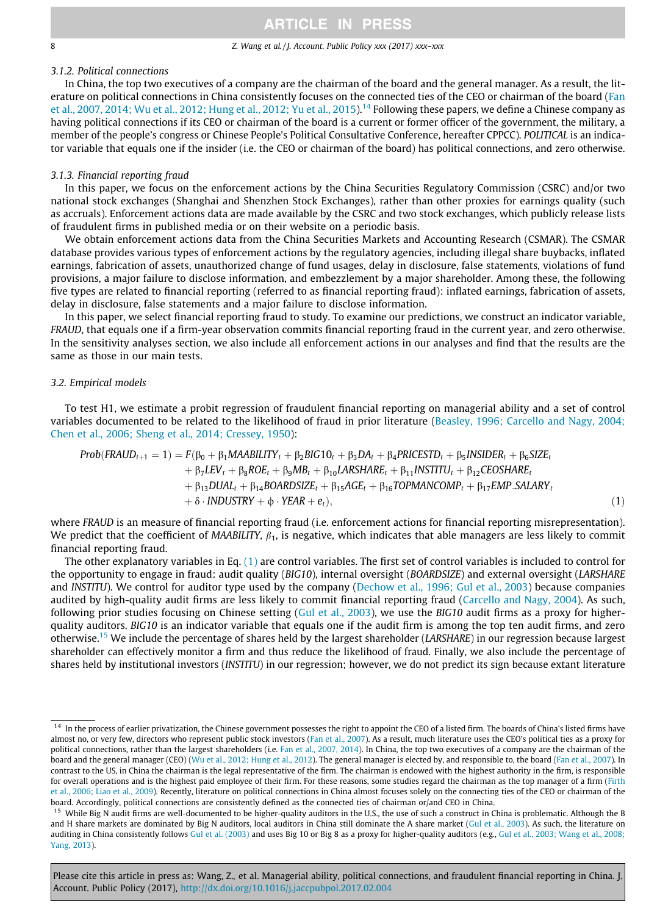<span id="page-7-0"></span>

### 8 2. Wang et al. / J. Account. Public Policy xxx (2017) xxx–xxx

## 3.1.2. Political connections

In China, the top two executives of a company are the chairman of the board and the general manager. As a result, the literature on political connections in China consistently focuses on the connected ties of the CEO or chairman of the board [\(Fan](#page-20-0) [et al., 2007, 2014; Wu et al., 2012; Hung et al., 2012; Yu et al., 2015](#page-20-0)).<sup>14</sup> Following these papers, we define a Chinese company as having political connections if its CEO or chairman of the board is a current or former officer of the government, the military, a member of the people's congress or Chinese People's Political Consultative Conference, hereafter CPPCC). POLITICAL is an indicator variable that equals one if the insider (i.e. the CEO or chairman of the board) has political connections, and zero otherwise.

### 3.1.3. Financial reporting fraud

In this paper, we focus on the enforcement actions by the China Securities Regulatory Commission (CSRC) and/or two national stock exchanges (Shanghai and Shenzhen Stock Exchanges), rather than other proxies for earnings quality (such as accruals). Enforcement actions data are made available by the CSRC and two stock exchanges, which publicly release lists of fraudulent firms in published media or on their website on a periodic basis.

We obtain enforcement actions data from the China Securities Markets and Accounting Research (CSMAR). The CSMAR database provides various types of enforcement actions by the regulatory agencies, including illegal share buybacks, inflated earnings, fabrication of assets, unauthorized change of fund usages, delay in disclosure, false statements, violations of fund provisions, a major failure to disclose information, and embezzlement by a major shareholder. Among these, the following five types are related to financial reporting (referred to as financial reporting fraud): inflated earnings, fabrication of assets, delay in disclosure, false statements and a major failure to disclose information.

In this paper, we select financial reporting fraud to study. To examine our predictions, we construct an indicator variable, FRAUD, that equals one if a firm-year observation commits financial reporting fraud in the current year, and zero otherwise. In the sensitivity analyses section, we also include all enforcement actions in our analyses and find that the results are the same as those in our main tests.

## 3.2. Empirical models

To test H1, we estimate a probit regression of fraudulent financial reporting on managerial ability and a set of control variables documented to be related to the likelihood of fraud in prior literature [\(Beasley, 1996; Carcello and Nagy, 2004;](#page-20-0) [Chen et al., 2006; Sheng et al., 2014; Cressey, 1950\)](#page-20-0):

$$
Prob(FRAUD_{t+1} = 1) = F(\beta_0 + \beta_1 MAABILITY_t + \beta_2 BIG10_t + \beta_3 DA_t + \beta_4 PRICESTD_t + \beta_5 INSIDER_t + \beta_6 SIZE_t + \beta_7 LEV_t + \beta_8 ROE_t + \beta_9 MB_t + \beta_{10} LARSHARE_t + \beta_{11} INSTITU_t + \beta_{12} CEOSHARE_t + \beta_{13} DUAL_t + \beta_{14} BOARDSIZE_t + \beta_{15} AGE_t + \beta_{16} TOPMANCOMP_t + \beta_{17} EMP\_SALARY_t + \delta \cdot INDUSTRY + \phi \cdot YEAR + e_t),
$$
\n(1)

where FRAUD is an measure of financial reporting fraud (i.e. enforcement actions for financial reporting misrepresentation). We predict that the coefficient of MAABILITY,  $\beta_1$ , is negative, which indicates that able managers are less likely to commit financial reporting fraud.

The other explanatory variables in Eq. (1) are control variables. The first set of control variables is included to control for the opportunity to engage in fraud: audit quality (BIG10), internal oversight (BOARDSIZE) and external oversight (LARSHARE and INSTITU). We control for auditor type used by the company ([Dechow et al., 1996; Gul et al., 2003\)](#page-20-0) because companies audited by high-quality audit firms are less likely to commit financial reporting fraud ([Carcello and Nagy, 2004](#page-20-0)). As such, following prior studies focusing on Chinese setting [\(Gul et al., 2003](#page-20-0)), we use the  $BIG10$  audit firms as a proxy for higherquality auditors. BIG10 is an indicator variable that equals one if the audit firm is among the top ten audit firms, and zero otherwise.15 We include the percentage of shares held by the largest shareholder (LARSHARE) in our regression because largest shareholder can effectively monitor a firm and thus reduce the likelihood of fraud. Finally, we also include the percentage of shares held by institutional investors (INSTITU) in our regression; however, we do not predict its sign because extant literature

<sup>&</sup>lt;sup>14</sup> In the process of earlier privatization, the Chinese government possesses the right to appoint the CEO of a listed firm. The boards of China's listed firms have almost no, or very few, directors who represent public stock investors ([Fan et al., 2007\)](#page-20-0). As a result, much literature uses the CEO's political ties as a proxy for political connections, rather than the largest shareholders (i.e. [Fan et al., 2007, 2014](#page-20-0)). In China, the top two executives of a company are the chairman of the board and the general manager (CEO) ([Wu et al., 2012; Hung et al., 2012\)](#page-21-0). The general manager is elected by, and responsible to, the board ([Fan et al., 2007](#page-20-0)). In contrast to the US, in China the chairman is the legal representative of the firm. The chairman is endowed with the highest authority in the firm, is responsible for overall operations and is the highest paid employee of their firm. For these reasons, some studies regard the chairman as the top manager of a firm [\(Firth](#page-20-0) [et al., 2006; Liao et al., 2009](#page-20-0)). Recently, literature on political connections in China almost focuses solely on the connecting ties of the CEO or chairman of the board. Accordingly, political connections are consistently defined as the connected ties of chairman or/and CEO in China.

<sup>&</sup>lt;sup>15</sup> While Big N audit firms are well-documented to be higher-quality auditors in the U.S., the use of such a construct in China is problematic. Although the B and H share markets are dominated by Big N auditors, local auditors in China still dominate the A share market ([Gul et al., 2003](#page-20-0)). As such, the literature on auditing in China consistently follows [Gul et al. \(2003\)](#page-20-0) and uses Big 10 or Big 8 as a proxy for higher-quality auditors (e.g., [Gul et al., 2003; Wang et al., 2008;](#page-20-0) [Yang, 2013](#page-20-0)).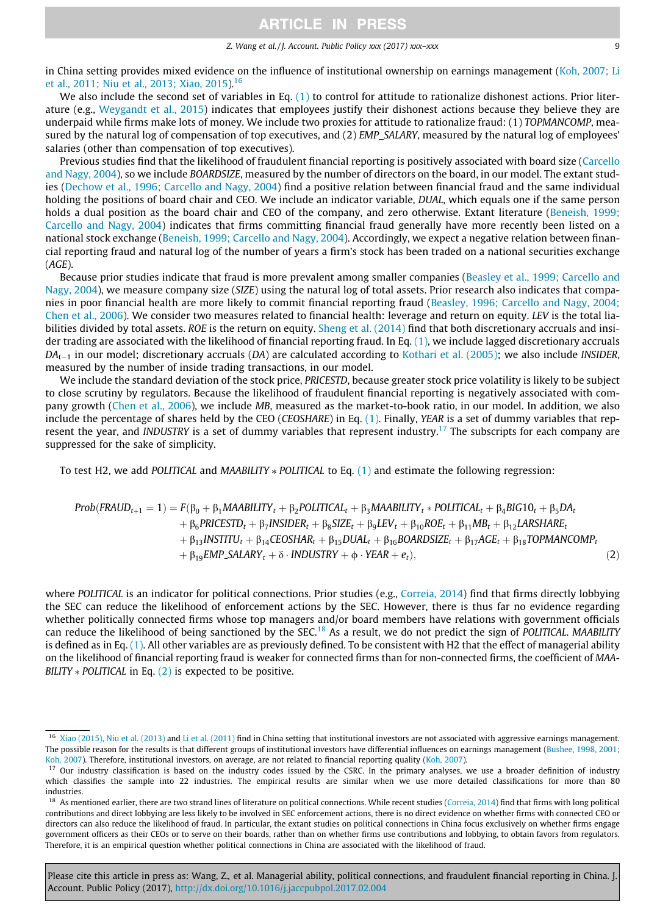#### Z. Wang et al. / J. Account. Public Policy xxx (2017) xxx–xxx 9

<span id="page-8-0"></span>in China setting provides mixed evidence on the influence of institutional ownership on earnings management [\(Koh, 2007; Li](#page-21-0) [et al., 2011; Niu et al., 2013; Xiao, 2015](#page-21-0)).16

We also include the second set of variables in Eq. [\(1\)](#page-7-0) to control for attitude to rationalize dishonest actions. Prior literature (e.g., [Weygandt et al., 2015](#page-21-0)) indicates that employees justify their dishonest actions because they believe they are underpaid while firms make lots of money. We include two proxies for attitude to rationalize fraud: (1) TOPMANCOMP, measured by the natural log of compensation of top executives, and (2) EMP\_SALARY, measured by the natural log of employees' salaries (other than compensation of top executives).

Previous studies find that the likelihood of fraudulent financial reporting is positively associated with board size ([Carcello](#page-20-0) [and Nagy, 2004\)](#page-20-0), so we include BOARDSIZE, measured by the number of directors on the board, in our model. The extant studies ([Dechow et al., 1996; Carcello and Nagy, 2004](#page-20-0)) find a positive relation between financial fraud and the same individual holding the positions of board chair and CEO. We include an indicator variable, DUAL, which equals one if the same person holds a dual position as the board chair and CEO of the company, and zero otherwise. Extant literature ([Beneish, 1999;](#page-20-0) [Carcello and Nagy, 2004](#page-20-0)) indicates that firms committing financial fraud generally have more recently been listed on a national stock exchange ([Beneish, 1999; Carcello and Nagy, 2004](#page-20-0)). Accordingly, we expect a negative relation between financial reporting fraud and natural log of the number of years a firm's stock has been traded on a national securities exchange (AGE).

Because prior studies indicate that fraud is more prevalent among smaller companies [\(Beasley et al., 1999; Carcello and](#page-20-0) [Nagy, 2004](#page-20-0)), we measure company size (SIZE) using the natural log of total assets. Prior research also indicates that companies in poor financial health are more likely to commit financial reporting fraud ([Beasley, 1996; Carcello and Nagy, 2004;](#page-20-0) [Chen et al., 2006\)](#page-20-0). We consider two measures related to financial health: leverage and return on equity. LEV is the total lia-bilities divided by total assets. ROE is the return on equity. [Sheng et al. \(2014\)](#page-21-0) find that both discretionary accruals and insider trading are associated with the likelihood of financial reporting fraud. In Eq. [\(1\)](#page-7-0), we include lagged discretionary accruals  $DA_{t-1}$  in our model; discretionary accruals (DA) are calculated according to [Kothari et al. \(2005\);](#page-21-0) we also include INSIDER, measured by the number of inside trading transactions, in our model.

We include the standard deviation of the stock price, PRICESTD, because greater stock price volatility is likely to be subject to close scrutiny by regulators. Because the likelihood of fraudulent financial reporting is negatively associated with company growth [\(Chen et al., 2006](#page-20-0)), we include MB, measured as the market-to-book ratio, in our model. In addition, we also include the percentage of shares held by the CEO (CEOSHARE) in Eq. [\(1\)](#page-7-0). Finally, YEAR is a set of dummy variables that represent the year, and INDUSTRY is a set of dummy variables that represent industry.<sup>17</sup> The subscripts for each company are suppressed for the sake of simplicity.

To test H2, we add POLITICAL and MAABILITY  $*$  POLITICAL to Eq. [\(1\)](#page-7-0) and estimate the following regression:

$$
Prob(FRAUD_{t+1} = 1) = F(\beta_0 + \beta_1 MABABILITY_t + \beta_2 POLITICAL_t + \beta_3 MAABILITY_t * POLITICAL_t + \beta_4 BIG10_t + \beta_5 DA_t + \beta_6 PRICESTD_t + \beta_7 INSIDER_t + \beta_8 SIZE_t + \beta_9LEV_t + \beta_{10}ROE_t + \beta_{11}MB_t + \beta_{12}LARSHARE_t + \beta_{13} INSTITUI_t + \beta_{14} CEOSHAR_t + \beta_{15} DUAL_t + \beta_{16} BOARDSIZE_t + \beta_{17}AGE_t + \beta_{18} TOPMANCOMP_t + \beta_{19}EMP.SALARY_t + \delta \cdot INDUSTRY + \phi \cdot YEAR + e_t),
$$
\n(2)

where POLITICAL is an indicator for political connections. Prior studies (e.g., [Correia, 2014\)](#page-20-0) find that firms directly lobbying the SEC can reduce the likelihood of enforcement actions by the SEC. However, there is thus far no evidence regarding whether politically connected firms whose top managers and/or board members have relations with government officials can reduce the likelihood of being sanctioned by the SEC.<sup>18</sup> As a result, we do not predict the sign of POLITICAL. MAABILITY is defined as in Eq. [\(1\)](#page-7-0). All other variables are as previously defined. To be consistent with H2 that the effect of managerial ability on the likelihood of financial reporting fraud is weaker for connected firms than for non-connected firms, the coefficient of MAA-BILITY  $*$  POLITICAL in Eq. (2) is expected to be positive.

<sup>&</sup>lt;sup>16</sup> [Xiao \(2015\), Niu et al. \(2013\)](#page-21-0) and [Li et al. \(2011\)](#page-21-0) find in China setting that institutional investors are not associated with aggressive earnings management. The possible reason for the results is that different groups of institutional investors have differential influences on earnings management ([Bushee, 1998, 2001;](#page-20-0) [Koh, 2007\)](#page-20-0). Therefore, institutional investors, on average, are not related to financial reporting quality ([Koh, 2007\)](#page-21-0).

<sup>&</sup>lt;sup>17</sup> Our industry classification is based on the industry codes issued by the CSRC. In the primary analyses, we use a broader definition of industry which classifies the sample into 22 industries. The empirical results are similar when we use more detailed classifications for more than 80 industries.

<sup>&</sup>lt;sup>18</sup> As mentioned earlier, there are two strand lines of literature on political connections. While recent studies [\(Correia, 2014](#page-20-0)) find that firms with long political contributions and direct lobbying are less likely to be involved in SEC enforcement actions, there is no direct evidence on whether firms with connected CEO or directors can also reduce the likelihood of fraud. In particular, the extant studies on political connections in China focus exclusively on whether firms engage government officers as their CEOs or to serve on their boards, rather than on whether firms use contributions and lobbying, to obtain favors from regulators. Therefore, it is an empirical question whether political connections in China are associated with the likelihood of fraud.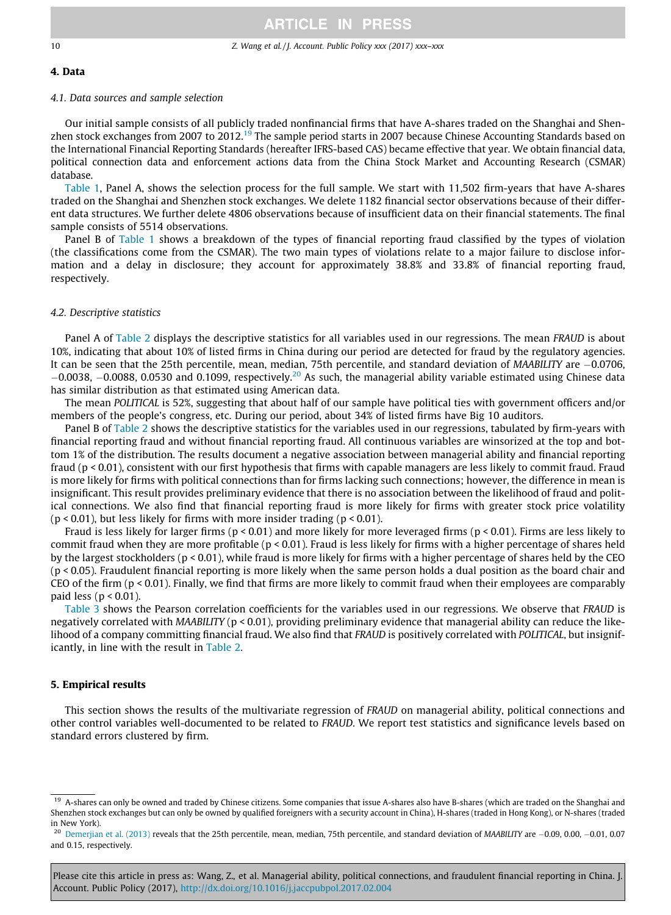#### <span id="page-9-0"></span>10 Z. Wang et al. / J. Account. Public Policy xxx (2017) xxx–xxx

#### 4. Data

### 4.1. Data sources and sample selection

Our initial sample consists of all publicly traded nonfinancial firms that have A-shares traded on the Shanghai and Shenzhen stock exchanges from 2007 to 2012.<sup>19</sup> The sample period starts in 2007 because Chinese Accounting Standards based on the International Financial Reporting Standards (hereafter IFRS-based CAS) became effective that year. We obtain financial data, political connection data and enforcement actions data from the China Stock Market and Accounting Research (CSMAR) database.

[Table 1](#page-10-0), Panel A, shows the selection process for the full sample. We start with 11,502 firm-years that have A-shares traded on the Shanghai and Shenzhen stock exchanges. We delete 1182 financial sector observations because of their different data structures. We further delete 4806 observations because of insufficient data on their financial statements. The final sample consists of 5514 observations.

Panel B of [Table 1](#page-10-0) shows a breakdown of the types of financial reporting fraud classified by the types of violation (the classifications come from the CSMAR). The two main types of violations relate to a major failure to disclose information and a delay in disclosure; they account for approximately 38.8% and 33.8% of financial reporting fraud, respectively.

### 4.2. Descriptive statistics

Panel A of [Table 2](#page-11-0) displays the descriptive statistics for all variables used in our regressions. The mean FRAUD is about 10%, indicating that about 10% of listed firms in China during our period are detected for fraud by the regulatory agencies. It can be seen that the 25th percentile, mean, median, 75th percentile, and standard deviation of MAABILITY are -0.0706,  $-0.0038$ ,  $-0.0088$ , 0.0530 and 0.1099, respectively.<sup>20</sup> As such, the managerial ability variable estimated using Chinese data has similar distribution as that estimated using American data.

The mean POLITICAL is 52%, suggesting that about half of our sample have political ties with government officers and/or members of the people's congress, etc. During our period, about 34% of listed firms have Big 10 auditors.

Panel B of [Table 2](#page-11-0) shows the descriptive statistics for the variables used in our regressions, tabulated by firm-years with financial reporting fraud and without financial reporting fraud. All continuous variables are winsorized at the top and bottom 1% of the distribution. The results document a negative association between managerial ability and financial reporting fraud (p < 0.01), consistent with our first hypothesis that firms with capable managers are less likely to commit fraud. Fraud is more likely for firms with political connections than for firms lacking such connections; however, the difference in mean is insignificant. This result provides preliminary evidence that there is no association between the likelihood of fraud and political connections. We also find that financial reporting fraud is more likely for firms with greater stock price volatility ( $p$  < 0.01), but less likely for firms with more insider trading ( $p$  < 0.01).

Fraud is less likely for larger firms ( $p < 0.01$ ) and more likely for more leveraged firms ( $p < 0.01$ ). Firms are less likely to commit fraud when they are more profitable ( $p < 0.01$ ). Fraud is less likely for firms with a higher percentage of shares held by the largest stockholders (p < 0.01), while fraud is more likely for firms with a higher percentage of shares held by the CEO (p < 0.05). Fraudulent financial reporting is more likely when the same person holds a dual position as the board chair and CEO of the firm  $(p < 0.01)$ . Finally, we find that firms are more likely to commit fraud when their employees are comparably paid less ( $p < 0.01$ ).

[Table 3](#page-12-0) shows the Pearson correlation coefficients for the variables used in our regressions. We observe that FRAUD is negatively correlated with MAABILITY ( $p < 0.01$ ), providing preliminary evidence that managerial ability can reduce the likelihood of a company committing financial fraud. We also find that FRAUD is positively correlated with POLITICAL, but insignificantly, in line with the result in [Table 2](#page-11-0).

### 5. Empirical results

This section shows the results of the multivariate regression of FRAUD on managerial ability, political connections and other control variables well-documented to be related to FRAUD. We report test statistics and significance levels based on standard errors clustered by firm.

<sup>&</sup>lt;sup>19</sup> A-shares can only be owned and traded by Chinese citizens. Some companies that issue A-shares also have B-shares (which are traded on the Shanghai and Shenzhen stock exchanges but can only be owned by qualified foreigners with a security account in China), H-shares (traded in Hong Kong), or N-shares (traded in New York).

 $20$  [Demerjian et al. \(2013\)](#page-20-0) reveals that the 25th percentile, mean, median, 75th percentile, and standard deviation of MAABILITY are  $-0.09$ , 0.00,  $-0.01$ , 0.07 and 0.15, respectively.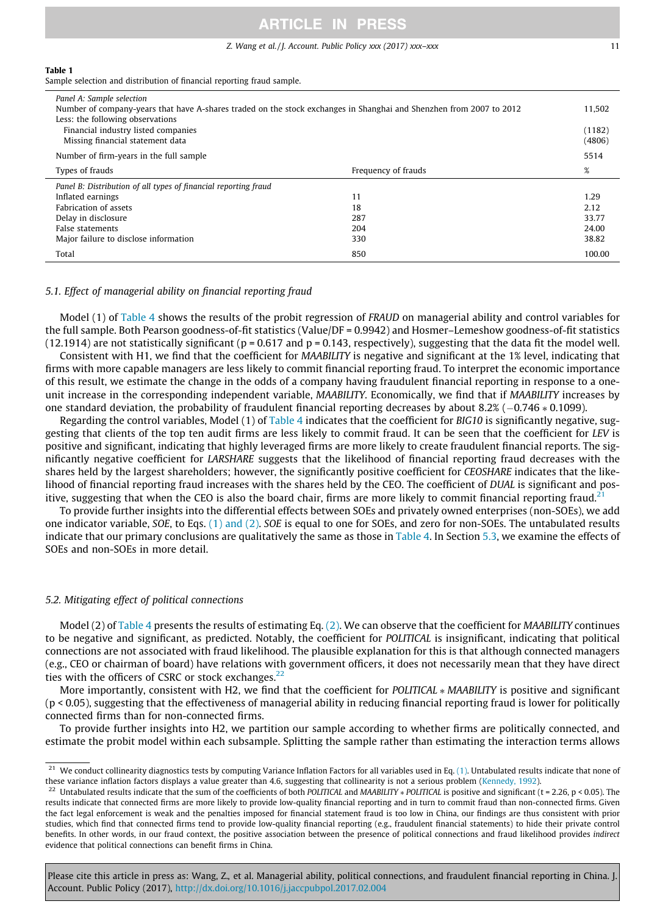#### Z. Wang et al. / J. Account. Public Policy xxx (2017) xxx–xxx 11

<span id="page-10-0"></span>Sample selection and distribution of financial reporting fraud sample.

| Panel A: Sample selection<br>Number of company-years that have A-shares traded on the stock exchanges in Shanghai and Shenzhen from 2007 to 2012<br>Less: the following observations |                     |                  |  |  |  |  |  |
|--------------------------------------------------------------------------------------------------------------------------------------------------------------------------------------|---------------------|------------------|--|--|--|--|--|
| Financial industry listed companies<br>Missing financial statement data                                                                                                              |                     | (1182)<br>(4806) |  |  |  |  |  |
| Number of firm-years in the full sample                                                                                                                                              |                     | 5514             |  |  |  |  |  |
| Types of frauds                                                                                                                                                                      | Frequency of frauds | %                |  |  |  |  |  |
| Panel B: Distribution of all types of financial reporting fraud                                                                                                                      |                     |                  |  |  |  |  |  |
| Inflated earnings                                                                                                                                                                    | 11                  |                  |  |  |  |  |  |
|                                                                                                                                                                                      |                     | 1.29             |  |  |  |  |  |
| <b>Fabrication of assets</b>                                                                                                                                                         | 18                  | 2.12             |  |  |  |  |  |
| Delay in disclosure                                                                                                                                                                  | 287                 | 33.77            |  |  |  |  |  |
| False statements                                                                                                                                                                     | 204                 | 24.00            |  |  |  |  |  |
| Major failure to disclose information                                                                                                                                                | 330                 | 38.82            |  |  |  |  |  |

#### 5.1. Effect of managerial ability on financial reporting fraud

Model (1) of [Table 4](#page-13-0) shows the results of the probit regression of FRAUD on managerial ability and control variables for the full sample. Both Pearson goodness-of-fit statistics (Value/DF = 0.9942) and Hosmer–Lemeshow goodness-of-fit statistics (12.1914) are not statistically significant ( $p = 0.617$  and  $p = 0.143$ , respectively), suggesting that the data fit the model well.

Consistent with H1, we find that the coefficient for MAABILITY is negative and significant at the 1% level, indicating that firms with more capable managers are less likely to commit financial reporting fraud. To interpret the economic importance of this result, we estimate the change in the odds of a company having fraudulent financial reporting in response to a oneunit increase in the corresponding independent variable, MAABILITY. Economically, we find that if MAABILITY increases by one standard deviation, the probability of fraudulent financial reporting decreases by about 8.2%  $(-0.746 * 0.1099)$ .

Regarding the control variables, Model  $(1)$  of [Table 4](#page-13-0) indicates that the coefficient for BIG10 is significantly negative, suggesting that clients of the top ten audit firms are less likely to commit fraud. It can be seen that the coefficient for LEV is positive and significant, indicating that highly leveraged firms are more likely to create fraudulent financial reports. The significantly negative coefficient for LARSHARE suggests that the likelihood of financial reporting fraud decreases with the shares held by the largest shareholders; however, the significantly positive coefficient for CEOSHARE indicates that the likelihood of financial reporting fraud increases with the shares held by the CEO. The coefficient of DUAL is significant and positive, suggesting that when the CEO is also the board chair, firms are more likely to commit financial reporting fraud.<sup>21</sup>

To provide further insights into the differential effects between SOEs and privately owned enterprises (non-SOEs), we add one indicator variable, SOE, to Eqs. [\(1\) and \(2\)](#page-7-0). SOE is equal to one for SOEs, and zero for non-SOEs. The untabulated results indicate that our primary conclusions are qualitatively the same as those in [Table 4.](#page-13-0) In Section [5.3](#page-13-0), we examine the effects of SOEs and non-SOEs in more detail.

#### 5.2. Mitigating effect of political connections

Model (2) of [Table 4](#page-13-0) presents the results of estimating Eq. [\(2\)](#page-8-0). We can observe that the coefficient for *MAABILITY* continues to be negative and significant, as predicted. Notably, the coefficient for POLITICAL is insignificant, indicating that political connections are not associated with fraud likelihood. The plausible explanation for this is that although connected managers (e.g., CEO or chairman of board) have relations with government officers, it does not necessarily mean that they have direct ties with the officers of CSRC or stock exchanges. $^{22}$ 

More importantly, consistent with H2, we find that the coefficient for POLITICAL \* MAABILITY is positive and significant (p < 0.05), suggesting that the effectiveness of managerial ability in reducing financial reporting fraud is lower for politically connected firms than for non-connected firms.

To provide further insights into H2, we partition our sample according to whether firms are politically connected, and estimate the probit model within each subsample. Splitting the sample rather than estimating the interaction terms allows

 $21$  We conduct collinearity diagnostics tests by computing Variance Inflation Factors for all variables used in Eq. [\(1\)](#page-7-0). Untabulated results indicate that none of these variance inflation factors displays a value greater than 4.6, suggesting that collinearity is not a serious problem [\(Kennedy, 1992\)](#page-21-0).

<sup>&</sup>lt;sup>22</sup> Untabulated results indicate that the sum of the coefficients of both POLITICAL and MAABILITY  $*$  POLITICAL is positive and significant (t = 2.26, p < 0.05). The results indicate that connected firms are more likely to provide low-quality financial reporting and in turn to commit fraud than non-connected firms. Given the fact legal enforcement is weak and the penalties imposed for financial statement fraud is too low in China, our findings are thus consistent with prior studies, which find that connected firms tend to provide low-quality financial reporting (e.g., fraudulent financial statements) to hide their private control benefits. In other words, in our fraud context, the positive association between the presence of political connections and fraud likelihood provides indirect evidence that political connections can benefit firms in China.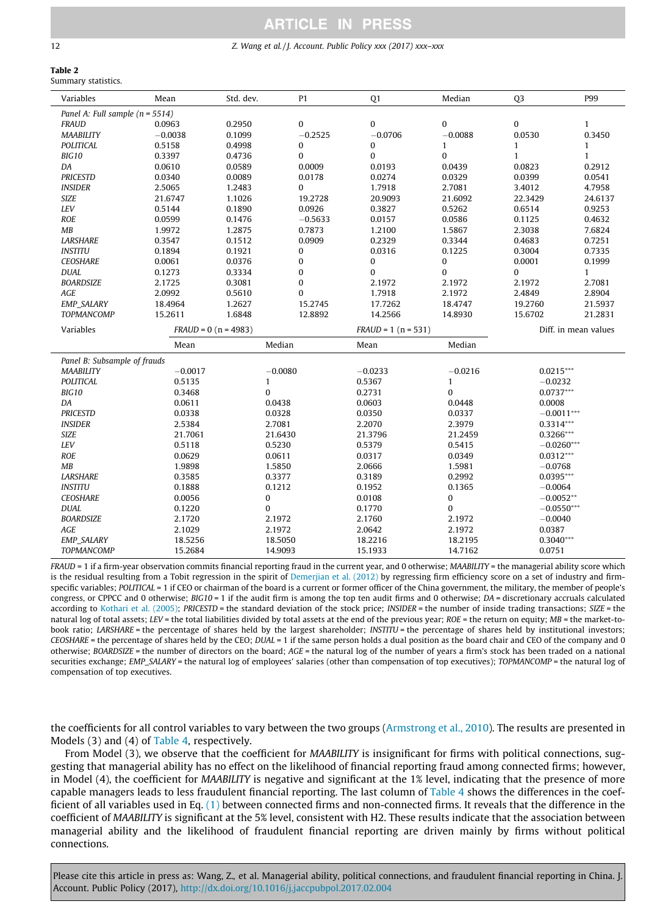#### <span id="page-11-0"></span>12 Z. Wang et al. / J. Account. Public Policy xxx (2017) xxx–xxx

#### Table 2 Summary statistics.

| Variables                           | Mean      | Std. dev.              | P <sub>1</sub>   | Q <sub>1</sub>        | Median         | Q <sub>3</sub> | P99                  |  |  |  |
|-------------------------------------|-----------|------------------------|------------------|-----------------------|----------------|----------------|----------------------|--|--|--|
| Panel A: Full sample ( $n = 5514$ ) |           |                        |                  |                       |                |                |                      |  |  |  |
| <b>FRAUD</b>                        | 0.0963    | 0.2950                 | $\mathbf{0}$     | $\mathbf{0}$          | $\overline{0}$ | $\pmb{0}$      | $\mathbf{1}$         |  |  |  |
| <b>MAABILITY</b>                    | $-0.0038$ | 0.1099                 | $-0.2525$        | $-0.0706$             | $-0.0088$      | 0.0530         | 0.3450               |  |  |  |
| POLITICAL                           | 0.5158    | 0.4998                 | 0                | 0                     | $\mathbf{1}$   | $\mathbf{1}$   | $\mathbf{1}$         |  |  |  |
| BIG10                               | 0.3397    | 0.4736                 | $\bf{0}$         | $\bf{0}$              | $\overline{0}$ | $\mathbf{1}$   | $\mathbf{1}$         |  |  |  |
| DA                                  | 0.0610    | 0.0589                 | 0.0009           | 0.0193                | 0.0439         | 0.0823         | 0.2912               |  |  |  |
| <b>PRICESTD</b>                     | 0.0340    | 0.0089                 | 0.0178           | 0.0274                | 0.0329         | 0.0399         | 0.0541               |  |  |  |
| <b>INSIDER</b>                      | 2.5065    | 1.2483                 | 0                | 1.7918                | 2.7081         | 3.4012         | 4.7958               |  |  |  |
| <b>SIZE</b>                         | 21.6747   | 1.1026                 | 19.2728          | 20.9093               | 21.6092        | 22.3429        | 24.6137              |  |  |  |
| LEV                                 | 0.5144    | 0.1890                 | 0.0926           | 0.3827                | 0.5262         | 0.6514         | 0.9253               |  |  |  |
| <b>ROE</b>                          | 0.0599    | 0.1476                 | $-0.5633$        | 0.0157                | 0.0586         | 0.1125         | 0.4632               |  |  |  |
| MB                                  | 1.9972    | 1.2875                 | 0.7873           | 1.2100                | 1.5867         | 2.3038         | 7.6824               |  |  |  |
| <b>LARSHARE</b>                     | 0.3547    | 0.1512                 | 0.0909           | 0.2329                | 0.3344         | 0.4683         | 0.7251               |  |  |  |
| <b>INSTITU</b>                      | 0.1894    | 0.1921                 | 0                | 0.0316                | 0.1225         | 0.3004         | 0.7335               |  |  |  |
| <b>CEOSHARE</b>                     | 0.0061    | 0.0376                 | $\boldsymbol{0}$ | $\pmb{0}$             | $\bf{0}$       | 0.0001         | 0.1999               |  |  |  |
| <b>DUAL</b>                         | 0.1273    | 0.3334                 | $\bf{0}$         | $\mathbf{0}$          | $\overline{0}$ | $\mathbf{0}$   | $\mathbf{1}$         |  |  |  |
| <b>BOARDSIZE</b>                    | 2.1725    | 0.3081                 | $\bf{0}$         | 2.1972                | 2.1972         | 2.1972         | 2.7081               |  |  |  |
| AGE                                 | 2.0992    | 0.5610                 | $\bf{0}$         | 1.7918                | 2.1972         | 2.4849         | 2.8904               |  |  |  |
| <b>EMP_SALARY</b>                   | 18.4964   | 1.2627                 | 15.2745          | 17.7262               | 18.4747        | 19.2760        | 21.5937              |  |  |  |
| TOPMANCOMP                          | 15.2611   | 1.6848                 | 12.8892          | 14.2566               | 14.8930        | 15.6702        | 21.2831              |  |  |  |
| Variables                           |           | $FRAUD = 0 (n = 4983)$ |                  | $FRAUD = 1 (n = 531)$ |                |                | Diff. in mean values |  |  |  |
|                                     | Mean      |                        | Median           | Mean                  | Median         |                |                      |  |  |  |
| Panel B: Subsample of frauds        |           |                        |                  |                       |                |                |                      |  |  |  |
| <b>MAABILITY</b>                    | $-0.0017$ |                        | $-0.0080$        | $-0.0233$             | $-0.0216$      | $0.0215***$    |                      |  |  |  |
| <b>POLITICAL</b>                    | 0.5135    | $\mathbf{1}$           |                  | 0.5367                | $\mathbf{1}$   | $-0.0232$      |                      |  |  |  |
| BIG10                               | 0.3468    | $\mathbf{0}$           |                  | 0.2731                | $\overline{0}$ | $0.0737***$    |                      |  |  |  |
| DA                                  | 0.0611    |                        | 0.0438           | 0.0603                | 0.0448         | 0.0008         |                      |  |  |  |
| <b>PRICESTD</b>                     | 0.0338    |                        | 0.0328           | 0.0350                | 0.0337         | $-0.0011***$   |                      |  |  |  |
| <b>INSIDER</b>                      | 2.5384    |                        | 2.7081           | 2.2070                | 2.3979         | $0.3314***$    |                      |  |  |  |
| <b>SIZE</b>                         | 21.7061   |                        | 21.6430          | 21.3796               | 21.2459        | 0.3266***      |                      |  |  |  |
| LEV                                 | 0.5118    |                        | 0.5230           | 0.5379                | 0.5415         | $-0.0260***$   |                      |  |  |  |
| <b>ROE</b>                          | 0.0629    |                        | 0.0611           | 0.0317                | 0.0349         | $0.0312***$    |                      |  |  |  |
| MB                                  | 1.9898    |                        | 1.5850           | 2.0666                | 1.5981         | $-0.0768$      |                      |  |  |  |
| <b>LARSHARE</b>                     | 0.3585    |                        | 0.3377           | 0.3189                | 0.2992         | $0.0395***$    |                      |  |  |  |
| <b>INSTITU</b>                      | 0.1888    |                        | 0.1212           | 0.1952                | 0.1365         | $-0.0064$      |                      |  |  |  |
| <b>CEOSHARE</b>                     | 0.0056    | $\pmb{0}$              |                  | 0.0108                | 0              | $-0.0052**$    |                      |  |  |  |
| <b>DUAL</b>                         |           | $\bf{0}$               |                  | 0.1770                | 0              | $-0.0550***$   |                      |  |  |  |
|                                     | 0.1220    |                        |                  |                       |                |                |                      |  |  |  |
| <b>BOARDSIZE</b>                    | 2.1720    |                        | 2.1972           | 2.1760                | 2.1972         | $-0.0040$      |                      |  |  |  |
| <b>AGE</b>                          | 2.1029    |                        | 2.1972           | 2.0642                | 2.1972         | 0.0387         |                      |  |  |  |
| <b>EMP_SALARY</b>                   | 18.5256   |                        | 18.5050          | 18,2216               | 18.2195        | $0.3040***$    |                      |  |  |  |

FRAUD = 1 if a firm-year observation commits financial reporting fraud in the current year, and 0 otherwise; MAABILITY = the managerial ability score which is the residual resulting from a Tobit regression in the spirit of [Demerjian et al. \(2012\)](#page-20-0) by regressing firm efficiency score on a set of industry and firmspecific variables; POLITICAL = 1 if CEO or chairman of the board is a current or former officer of the China government, the military, the member of people's congress, or CPPCC and 0 otherwise; BIG10 = 1 if the audit firm is among the top ten audit firms and 0 otherwise; DA = discretionary accruals calculated according to [Kothari et al. \(2005\)](#page-21-0); PRICESTD = the standard deviation of the stock price; INSIDER = the number of inside trading transactions; SIZE = the natural log of total assets; LEV = the total liabilities divided by total assets at the end of the previous year;  $ROE$  = the return on equity;  $MB$  = the market-tobook ratio; LARSHARE = the percentage of shares held by the largest shareholder; INSTITU = the percentage of shares held by institutional investors; CEOSHARE = the percentage of shares held by the CEO; DUAL = 1 if the same person holds a dual position as the board chair and CEO of the company and 0 otherwise; BOARDSIZE = the number of directors on the board; AGE = the natural log of the number of years a firm's stock has been traded on a national securities exchange; EMP\_SALARY = the natural log of employees' salaries (other than compensation of top executives); TOPMANCOMP = the natural log of compensation of top executives.

the coefficients for all control variables to vary between the two groups ([Armstrong et al., 2010\)](#page-19-0). The results are presented in Models (3) and (4) of [Table 4,](#page-13-0) respectively.

From Model (3), we observe that the coefficient for MAABILITY is insignificant for firms with political connections, suggesting that managerial ability has no effect on the likelihood of financial reporting fraud among connected firms; however, in Model (4), the coefficient for MAABILITY is negative and significant at the 1% level, indicating that the presence of more capable managers leads to less fraudulent financial reporting. The last column of [Table 4](#page-13-0) shows the differences in the coefficient of all variables used in Eq. [\(1\)](#page-7-0) between connected firms and non-connected firms. It reveals that the difference in the coefficient of MAABILITY is significant at the 5% level, consistent with H2. These results indicate that the association between managerial ability and the likelihood of fraudulent financial reporting are driven mainly by firms without political connections.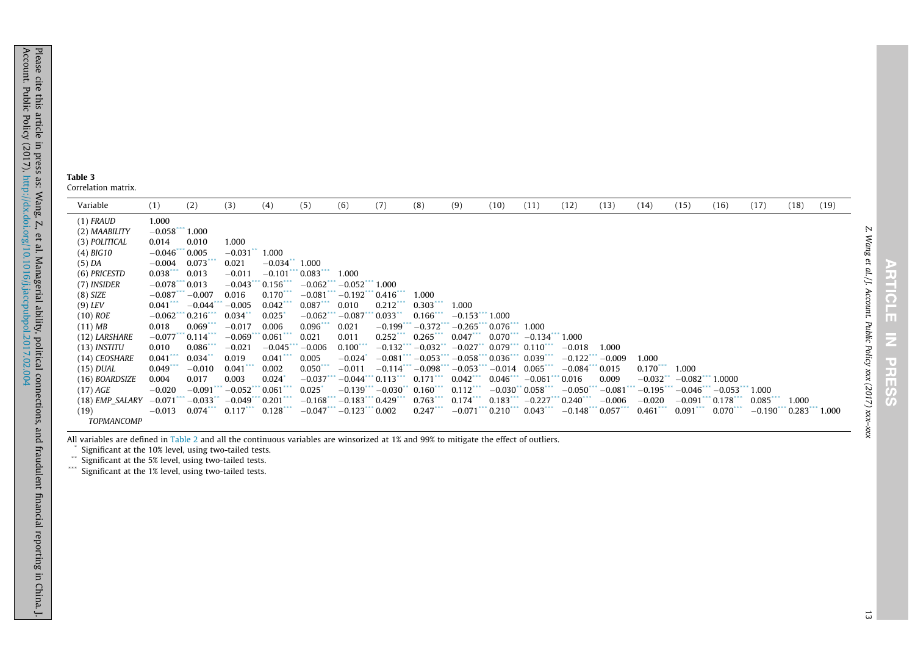<span id="page-12-0"></span>Variable (1) (2) (3) (4) (5) (6) (7) (8) (9) (10) (11) (12) (13) (14) (15) (16) (17) (18) (19) (1) FRAUD 1.000 (2) MAABILITY  $-0.058***1.000$ (3) POLITICAL 0.014 0.010 1.000 (4) BIG10  $-0.046***0.005$   $-0.031**1.000$  $(5)$  DA  $-0.004$   $0.073***$   $0.021$   $-0.034**$  1.000 (6) PRICESTD  $0.038***$  0.013  $-0.011$   $-0.101***$  0.083\*\*\* 1.000 (7) INSIDER  $-0.078***0.013 -0.043***0.156*** -0.062*** -0.052*** 1.000$  $(8)$  SIZE  $-0.087***$   $-0.007$  0.016  $0.170***$   $-0.081***$   $-0.192***$  0.416\*\*\* 1.000  $(9) \; {\rm LFV} \qquad \qquad 0.041^{***} \; -0.044^{***} -0.005 \; \; \; 0.042^{***} \; \; 0.087^{***} \; \; 0.010 \; \; \; \; 0.212^{***} \; \; 0.303^{***} \; \; 1.00010$  $(10)$  ROE  $-0.062$ \*\*\* 0.216\*\*\* 0.034\*\* 0.025\*  $-0.062$ \*\*\*  $-0.087$ \*\*\* 0.033\*\* 0.166\*\*\*  $-0.153$ \*\*\* 1.000  $(11)$  MB  $0.018$   $0.069$   $0.017$   $0.006$   $0.096$   $0.096$   $0.021$   $-0.199$   $-0.372$   $-0.265$   $0.076$   $1.000$ <br> $(12)$  LARSHARE  $-0.077$   $-0.114$   $-0.069$   $0.061$   $0.021$   $0.011$   $0.252$   $0.265$   $0.047$   $-0.13$  $(12)$  LARSHARE  $-0.077***0.114***$   $-0.069***0.061***$  0.021 0.011 0.252\*\*\* 0.265\*\*\* 0.047\*\*\* 0.070\*\*\*  $-0.134***1.000$  $(13)$  INSTITU  $0.010$   $0.086$ \*\*\*  $-0.021$   $-0.045$ \*\*\* $-0.006$   $0.100$ \*\*\*  $-0.132$ \*\*\*  $-0.032$ \*\*  $-0.027$ \*\*  $0.079$ \*\*\*  $0.110$ \*\*\*  $-0.018$  1.000  $(14)$  CEOSHARE  $\qquad 0.041^{***}$   $\qquad 0.034^{***}$   $\qquad 0.019$   $\qquad 0.041^{***}$   $\qquad 0.005$   $\qquad -0.024^{*}$   $\qquad -0.081^{***}$   $\qquad -0.053^{***}$   $\qquad 0.036^{***}$   $\qquad 0.039^{***}$   $\qquad -0.122^{***}$   $\qquad -0.009$   $\qquad 1.000$  $(15)$   $DUAL$   $0.049^{***}$   $-0.010$   $0.041^{***}$   $0.002$   $0.050^{***}$   $-0.011$   $-0.114^{***}$   $-0.098^{***}$   $-0.053^{***}$   $-0.014$   $0.065^{***}$   $-0.084^{***}$   $0.015$   $0.170^{***}$   $1.000$  $(16)$  BOARDSIZE  $\quad 0.004$   $\quad 0.017$   $\quad 0.003$   $\quad 0.024$   $\quad -0.037$   $\cdots$   $\quad 0.044$   $\cdots$   $\quad 0.171$   $\cdots$   $\quad 0.042$   $\cdots$   $\quad 0.046$   $\cdots$   $\cdots$   $\quad 0.061$   $\cdots$   $\; 0.016$   $\qquad 0.009$   $\qquad -0.032$   $\cdots$   $\qquad 0.082$  $(17)\,AGE$   $-0.020$   $-0.091^{***}-0.052^{***}$   $0.061^{***}$   $0.025^{*}$   $-0.139^{***}-0.030^{**}$   $0.160^{***}$   $0.112^{***}$   $-0.030^{**}$   $0.058^{***}$   $-0.050^{***}-0.081^{***}-0.195^{***}-0.046^{***}-0.053^{***}$   $1.000$  $(18)$  EMP\_SALARY  $-0.071***$   $-0.033**$   $-0.049***$   $0.201***$   $-0.168***$   $-0.183***$  0.429\*\*\* 0.763\*\*\* 0.174\*\*\* 0.183\*\*\*  $-0.227***$  0.240\*\*\*  $-0.006$   $-0.020$   $-0.020$   $-0.091***$  0.178\*\*\* 0.085\*\*\* 1.000 (19) TOPMANCOMP  $-0.013$   $0.074***$   $0.117***$   $0.128***$   $-0.047***$   $-0.123***$   $0.002$   $0.247***$   $-0.071***$   $0.0143***$   $0.043***$   $-0.148***$   $0.057***$   $0.461***$   $0.091***$   $0.070***$   $-0.190***$   $0.283***$   $1.000$ 

All variables are defined in [Table](#page-11-0) 2 and all the continuous variables are winsorized at 1% and 99% to mitigate the effect of outliers.

Significant at the 10% level, using two-tailed tests.

\*\*Significant at the 5% level, using two-tailed tests.

\*\*\* Significant at the 1% level, using two-tailed tests.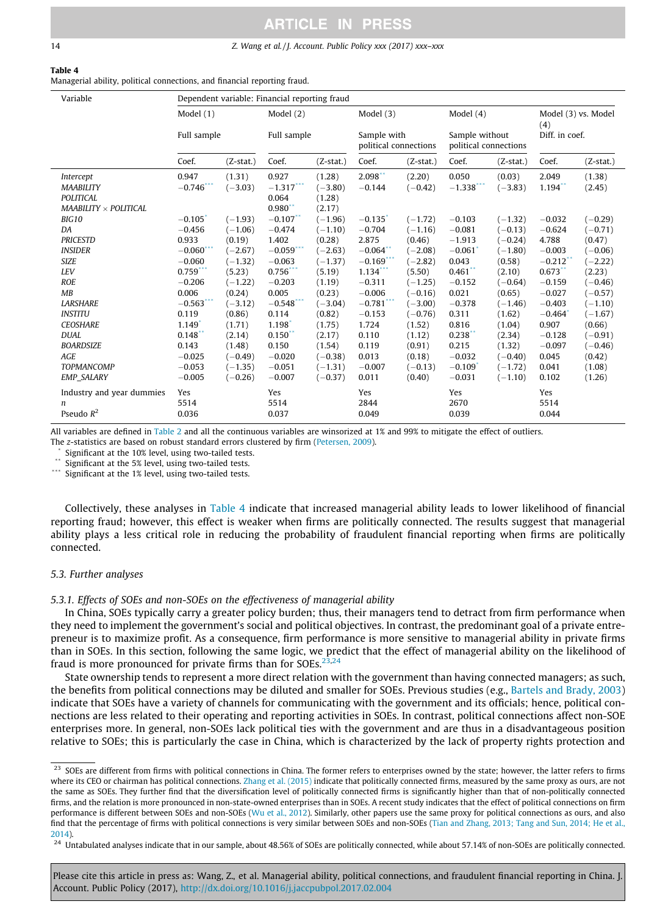#### <span id="page-13-0"></span>14 Z. Wang et al. / J. Account. Public Policy xxx (2017) xxx–xxx

#### Table 4 Managerial ability, political connections, and financial reporting fraud.

| Variable                                                                          | Dependent variable: Financial reporting fraud |                     |                                        |                                         |                                      |                     |                                         |                     |                            |                  |  |  |
|-----------------------------------------------------------------------------------|-----------------------------------------------|---------------------|----------------------------------------|-----------------------------------------|--------------------------------------|---------------------|-----------------------------------------|---------------------|----------------------------|------------------|--|--|
|                                                                                   | Model (1)<br>Full sample                      |                     | Model $(2)$                            |                                         |                                      | Model $(3)$         |                                         |                     | Model (3) vs. Model<br>(4) |                  |  |  |
|                                                                                   |                                               |                     | Full sample                            |                                         | Sample with<br>political connections |                     | Sample without<br>political connections |                     | Diff. in coef.             |                  |  |  |
|                                                                                   | Coef.                                         | $(Z-stat.)$         | Coef.                                  | $(Z-stat.)$                             | Coef.                                | $(Z-stat.)$         | Coef.                                   | $(Z-stat.)$         | Coef.                      | $(Z-stat.)$      |  |  |
| Intercept<br><b>MAABILITY</b><br><b>POLITICAL</b><br>$MAABILITY \times POLITICAL$ | 0.947<br>$-0.746$ **                          | (1.31)<br>$(-3.03)$ | 0.927<br>$-1.317***$<br>0.064<br>0.980 | (1.28)<br>$(-3.80)$<br>(1.28)<br>(2.17) | $2.098**$<br>$-0.144$                | (2.20)<br>$(-0.42)$ | 0.050<br>$-1.338$                       | (0.03)<br>$(-3.83)$ | 2.049<br>$1.194$ **        | (1.38)<br>(2.45) |  |  |
| <b>BIG10</b>                                                                      | $-0.105$                                      | $(-1.93)$           | $-0.107$ **                            | $(-1.96)$                               | $-0.135$                             | $(-1.72)$           | $-0.103$                                | $(-1.32)$           | $-0.032$                   | $(-0.29)$        |  |  |
| DA                                                                                | $-0.456$                                      | $(-1.06)$           | $-0.474$                               | $(-1.10)$                               | $-0.704$                             | $(-1.16)$           | $-0.081$                                | $(-0.13)$           | $-0.624$                   | $(-0.71)$        |  |  |
| <b>PRICESTD</b>                                                                   | 0.933                                         | (0.19)              | 1.402                                  | (0.28)                                  | 2.875                                | (0.46)              | $-1.913$                                | $(-0.24)$           | 4.788                      | (0.47)           |  |  |
| <b>INSIDER</b>                                                                    | $-0.060**$                                    | $(-2.67)$           | $-0.059$                               | $(-2.63)$                               | $-0.064$                             | $(-2.08)$           | $-0.061$                                | $(-1.80)$           | $-0.003$                   | $(-0.06)$        |  |  |
| <b>SIZE</b>                                                                       | $-0.060$                                      | $(-1.32)$           | $-0.063$                               | $(-1.37)$                               | $-0.169$ ***                         | $(-2.82)$           | 0.043                                   | (0.58)              | $-0.212$ <sup>*</sup>      | $(-2.22)$        |  |  |
| <b>LEV</b>                                                                        | $0.759***$                                    | (5.23)              | $0.756$ ***                            | (5.19)                                  | 1.134                                | (5.50)              | $0.461$ **                              | (2.10)              | $0.673$ **                 | (2.23)           |  |  |
| <b>ROE</b>                                                                        | $-0.206$                                      | $(-1.22)$           | $-0.203$                               | (1.19)                                  | $-0.311$                             | $(-1.25)$           | $-0.152$                                | $(-0.64)$           | $-0.159$                   | $(-0.46)$        |  |  |
| MB                                                                                | 0.006                                         | (0.24)              | 0.005                                  | (0.23)                                  | $-0.006$                             | $(-0.16)$           | 0.021                                   | (0.65)              | $-0.027$                   | $(-0.57)$        |  |  |
| <b>LARSHARE</b>                                                                   | $-0.563$ ***                                  | $(-3.12)$           | $-0.548$ ***                           | $(-3.04)$                               | $-0.781$ ***                         | $(-3.00)$           | $-0.378$                                | $(-1.46)$           | $-0.403$                   | $(-1.10)$        |  |  |
| <b>INSTITU</b>                                                                    | 0.119                                         | (0.86)              | 0.114                                  | (0.82)                                  | $-0.153$                             | $(-0.76)$           | 0.311                                   | (1.62)              | $-0.464$                   | $(-1.67)$        |  |  |
| <b>CEOSHARE</b>                                                                   | $1.149$ <sup>*</sup>                          | (1.71)              | 1.198                                  | (1.75)                                  | 1.724                                | (1.52)              | 0.816                                   | (1.04)              | 0.907                      | (0.66)           |  |  |
| <b>DUAL</b>                                                                       | $0.148$ **                                    | (2.14)              | $0.150$ **                             | (2.17)                                  | 0.110                                | (1.12)              | 0.238                                   | (2.34)              | $-0.128$                   | $(-0.91)$        |  |  |
| <b>BOARDSIZE</b>                                                                  | 0.143                                         | (1.48)              | 0.150                                  | (1.54)                                  | 0.119                                | (0.91)              | 0.215                                   | (1.32)              | $-0.097$                   | $(-0.46)$        |  |  |
| <b>AGE</b>                                                                        | $-0.025$                                      | $(-0.49)$           | $-0.020$                               | $(-0.38)$                               | 0.013                                | (0.18)              | $-0.032$                                | $(-0.40)$           | 0.045                      | (0.42)           |  |  |
| <b>TOPMANCOMP</b>                                                                 | $-0.053$                                      | $(-1.35)$           | $-0.051$                               | $(-1.31)$                               | $-0.007$                             | $(-0.13)$           | $-0.109$                                | $(-1.72)$           | 0.041                      | (1.08)           |  |  |
| <b>EMP SALARY</b>                                                                 | $-0.005$                                      | $(-0.26)$           | $-0.007$                               | $(-0.37)$                               | 0.011                                | (0.40)              | $-0.031$                                | $(-1.10)$           | 0.102                      | (1.26)           |  |  |
| Industry and year dummies<br>n<br>Pseudo $R^2$                                    | Yes<br>5514<br>0.036                          |                     | Yes<br>5514<br>0.037                   |                                         | Yes<br>2844<br>0.049                 |                     | Yes<br>2670<br>0.039                    |                     | Yes<br>5514<br>0.044       |                  |  |  |

All variables are defined in [Table 2](#page-11-0) and all the continuous variables are winsorized at 1% and 99% to mitigate the effect of outliers. The z-statistics are based on robust standard errors clustered by firm [\(Petersen, 2009\)](#page-21-0).

Significant at the 10% level, using two-tailed tests.

Significant at the 5% level, using two-tailed tests.

Significant at the 1% level, using two-tailed tests.

Collectively, these analyses in Table 4 indicate that increased managerial ability leads to lower likelihood of financial reporting fraud; however, this effect is weaker when firms are politically connected. The results suggest that managerial ability plays a less critical role in reducing the probability of fraudulent financial reporting when firms are politically connected.

## 5.3. Further analyses

## 5.3.1. Effects of SOEs and non-SOEs on the effectiveness of managerial ability

In China, SOEs typically carry a greater policy burden; thus, their managers tend to detract from firm performance when they need to implement the government's social and political objectives. In contrast, the predominant goal of a private entrepreneur is to maximize profit. As a consequence, firm performance is more sensitive to managerial ability in private firms than in SOEs. In this section, following the same logic, we predict that the effect of managerial ability on the likelihood of fraud is more pronounced for private firms than for SOEs. $^{23,24}$ 

State ownership tends to represent a more direct relation with the government than having connected managers; as such, the benefits from political connections may be diluted and smaller for SOEs. Previous studies (e.g., [Bartels and Brady, 2003](#page-20-0)) indicate that SOEs have a variety of channels for communicating with the government and its officials; hence, political connections are less related to their operating and reporting activities in SOEs. In contrast, political connections affect non-SOE enterprises more. In general, non-SOEs lack political ties with the government and are thus in a disadvantageous position relative to SOEs; this is particularly the case in China, which is characterized by the lack of property rights protection and

<sup>&</sup>lt;sup>23</sup> SOEs are different from firms with political connections in China. The former refers to enterprises owned by the state; however, the latter refers to firms where its CEO or chairman has political connections. [Zhang et al. \(2015\)](#page-21-0) indicate that politically connected firms, measured by the same proxy as ours, are not the same as SOEs. They further find that the diversification level of politically connected firms is significantly higher than that of non-politically connected firms, and the relation is more pronounced in non-state-owned enterprises than in SOEs. A recent study indicates that the effect of political connections on firm performance is different between SOEs and non-SOEs [\(Wu et al., 2012\)](#page-21-0). Similarly, other papers use the same proxy for political connections as ours, and also find that the percentage of firms with political connections is very similar between SOEs and non-SOEs [\(Tian and Zhang, 2013; Tang and Sun, 2014; He et al.,](#page-21-0) [2014\)](#page-21-0).

 $^{24}$  Untabulated analyses indicate that in our sample, about 48.56% of SOEs are politically connected, while about 57.14% of non-SOEs are politically connected.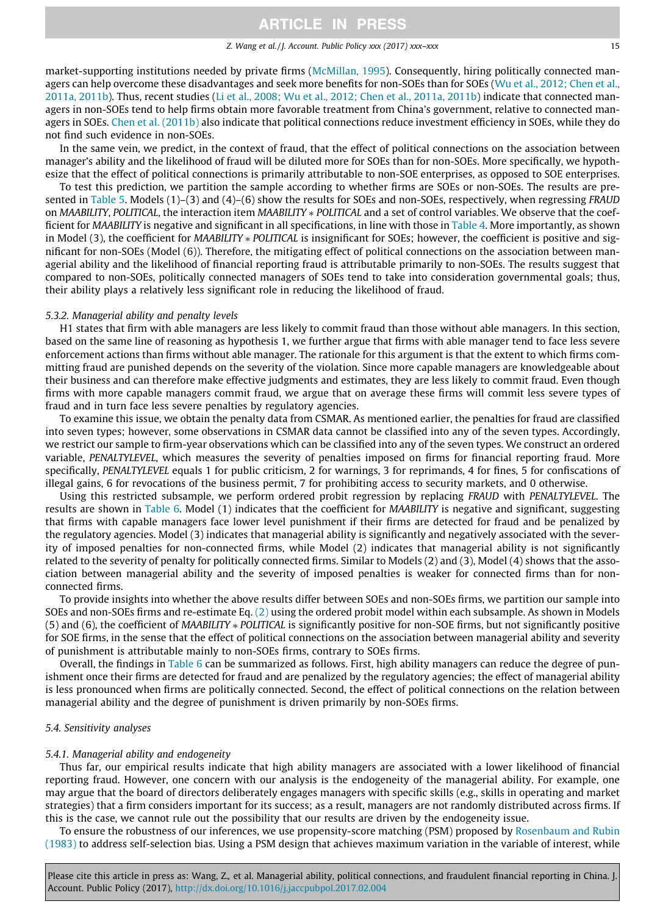#### Z. Wang et al. / J. Account. Public Policy xxx (2017) xxx–xxx 15

market-supporting institutions needed by private firms [\(McMillan, 1995\)](#page-21-0). Consequently, hiring politically connected managers can help overcome these disadvantages and seek more benefits for non-SOEs than for SOEs ([Wu et al., 2012; Chen et al.,](#page-21-0) [2011a, 2011b\)](#page-21-0). Thus, recent studies [\(Li et al., 2008; Wu et al., 2012; Chen et al., 2011a, 2011b\)](#page-21-0) indicate that connected managers in non-SOEs tend to help firms obtain more favorable treatment from China's government, relative to connected managers in SOEs. [Chen et al. \(2011b\)](#page-20-0) also indicate that political connections reduce investment efficiency in SOEs, while they do not find such evidence in non-SOEs.

In the same vein, we predict, in the context of fraud, that the effect of political connections on the association between manager's ability and the likelihood of fraud will be diluted more for SOEs than for non-SOEs. More specifically, we hypothesize that the effect of political connections is primarily attributable to non-SOE enterprises, as opposed to SOE enterprises.

To test this prediction, we partition the sample according to whether firms are SOEs or non-SOEs. The results are pre-sented in [Table 5](#page-15-0). Models (1)–(3) and (4)–(6) show the results for SOEs and non-SOEs, respectively, when regressing FRAUD on MAABILITY, POLITICAL, the interaction item MAABILITY \* POLITICAL and a set of control variables. We observe that the coefficient for MAABILITY is negative and significant in all specifications, in line with those in [Table 4.](#page-13-0) More importantly, as shown in Model (3), the coefficient for MAABILITY \* POLITICAL is insignificant for SOEs; however, the coefficient is positive and significant for non-SOEs (Model (6)). Therefore, the mitigating effect of political connections on the association between managerial ability and the likelihood of financial reporting fraud is attributable primarily to non-SOEs. The results suggest that compared to non-SOEs, politically connected managers of SOEs tend to take into consideration governmental goals; thus, their ability plays a relatively less significant role in reducing the likelihood of fraud.

#### 5.3.2. Managerial ability and penalty levels

H1 states that firm with able managers are less likely to commit fraud than those without able managers. In this section, based on the same line of reasoning as hypothesis 1, we further argue that firms with able manager tend to face less severe enforcement actions than firms without able manager. The rationale for this argument is that the extent to which firms committing fraud are punished depends on the severity of the violation. Since more capable managers are knowledgeable about their business and can therefore make effective judgments and estimates, they are less likely to commit fraud. Even though firms with more capable managers commit fraud, we argue that on average these firms will commit less severe types of fraud and in turn face less severe penalties by regulatory agencies.

To examine this issue, we obtain the penalty data from CSMAR. As mentioned earlier, the penalties for fraud are classified into seven types; however, some observations in CSMAR data cannot be classified into any of the seven types. Accordingly, we restrict our sample to firm-year observations which can be classified into any of the seven types. We construct an ordered variable, PENALTYLEVEL, which measures the severity of penalties imposed on firms for financial reporting fraud. More specifically, PENALTYLEVEL equals 1 for public criticism, 2 for warnings, 3 for reprimands, 4 for fines, 5 for confiscations of illegal gains, 6 for revocations of the business permit, 7 for prohibiting access to security markets, and 0 otherwise.

Using this restricted subsample, we perform ordered probit regression by replacing FRAUD with PENALTYLEVEL. The results are shown in [Table 6.](#page-16-0) Model (1) indicates that the coefficient for MAABILITY is negative and significant, suggesting that firms with capable managers face lower level punishment if their firms are detected for fraud and be penalized by the regulatory agencies. Model (3) indicates that managerial ability is significantly and negatively associated with the severity of imposed penalties for non-connected firms, while Model (2) indicates that managerial ability is not significantly related to the severity of penalty for politically connected firms. Similar to Models (2) and (3), Model (4) shows that the association between managerial ability and the severity of imposed penalties is weaker for connected firms than for nonconnected firms.

To provide insights into whether the above results differ between SOEs and non-SOEs firms, we partition our sample into SOEs and non-SOEs firms and re-estimate Eq. [\(2\)](#page-8-0) using the ordered probit model within each subsample. As shown in Models (5) and (6), the coefficient of MAABILITY ⁄ POLITICAL is significantly positive for non-SOE firms, but not significantly positive for SOE firms, in the sense that the effect of political connections on the association between managerial ability and severity of punishment is attributable mainly to non-SOEs firms, contrary to SOEs firms.

Overall, the findings in [Table 6](#page-16-0) can be summarized as follows. First, high ability managers can reduce the degree of punishment once their firms are detected for fraud and are penalized by the regulatory agencies; the effect of managerial ability is less pronounced when firms are politically connected. Second, the effect of political connections on the relation between managerial ability and the degree of punishment is driven primarily by non-SOEs firms.

### 5.4. Sensitivity analyses

#### 5.4.1. Managerial ability and endogeneity

Thus far, our empirical results indicate that high ability managers are associated with a lower likelihood of financial reporting fraud. However, one concern with our analysis is the endogeneity of the managerial ability. For example, one may argue that the board of directors deliberately engages managers with specific skills (e.g., skills in operating and market strategies) that a firm considers important for its success; as a result, managers are not randomly distributed across firms. If this is the case, we cannot rule out the possibility that our results are driven by the endogeneity issue.

To ensure the robustness of our inferences, we use propensity-score matching (PSM) proposed by [Rosenbaum and Rubin](#page-21-0) [\(1983\)](#page-21-0) to address self-selection bias. Using a PSM design that achieves maximum variation in the variable of interest, while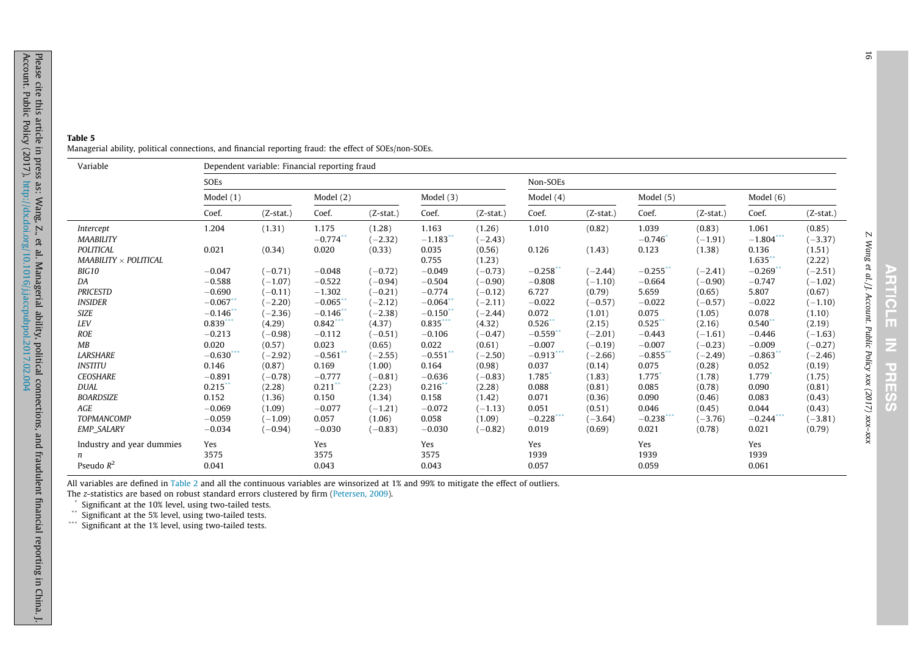<span id="page-15-0"></span>

| Table 5 |                                                                                                        |  |
|---------|--------------------------------------------------------------------------------------------------------|--|
|         | Managerial ability, political connections, and financial reporting fraud: the effect of SOEs/non-SOEs. |  |

| Variable                                         | Dependent variable: Financial reporting fraud |             |                                |                     |                       |                     |                       |             |                      |                     |                       |                     |  |
|--------------------------------------------------|-----------------------------------------------|-------------|--------------------------------|---------------------|-----------------------|---------------------|-----------------------|-------------|----------------------|---------------------|-----------------------|---------------------|--|
|                                                  | SOEs                                          |             |                                |                     |                       |                     |                       | Non-SOEs    |                      |                     |                       |                     |  |
|                                                  | Model $(1)$                                   |             | Model $(2)$                    |                     | Model $(3)$           |                     |                       |             | Model (5)            |                     | Model $(6)$           |                     |  |
|                                                  | Coef.                                         | $(Z-stat.)$ | Coef.                          | $(Z-stat.)$         | Coef.                 | $(Z-stat.)$         | Coef.                 | $(Z-stat.)$ | Coef.                | $(Z-stat.)$         | Coef.                 | $(Z-stat.)$         |  |
| Intercept<br><b>MAABILITY</b>                    | 1.204                                         | (1.31)      | 1.175<br>$-0.774$ <sup>*</sup> | (1.28)<br>$(-2.32)$ | 1.163<br>$-1.183$     | (1.26)<br>$(-2.43)$ | 1.010                 | (0.82)      | 1.039<br>$-0.746$    | (0.83)<br>$(-1.91)$ | 1.061<br>$-1.804$ *** | (0.85)<br>$(-3.37)$ |  |
| <b>POLITICAL</b><br>MAABILITY $\times$ POLITICAL | 0.021                                         | (0.34)      | 0.020                          | (0.33)              | 0.035<br>0.755        | (0.56)<br>(1.23)    | 0.126                 | (1.43)      | 0.123                | (1.38)              | 0.136<br>$1.635$ **   | (1.51)<br>(2.22)    |  |
| BIG10                                            | $-0.047$                                      | $(-0.71)$   | $-0.048$                       | $(-0.72)$           | $-0.049$              | $(-0.73)$           | $-0.258$ **           | $(-2.44)$   | $-0.255$ **          | $(-2.41)$           | $-0.269$ <sup>*</sup> | $(-2.51)$           |  |
| DA                                               | $-0.588$                                      | $(-1.07)$   | $-0.522$                       | $(-0.94)$           | $-0.504$              | $-0.90)$            | $-0.808$              | $(-1.10)$   | $-0.664$             | $(-0.90)$           | $-0.747$              | $(-1.02)$           |  |
| <b>PRICESTD</b>                                  | $-0.690$                                      | $(-0.11)$   | $-1.302$                       | $(-0.21)$           | $-0.774$              | $(-0.12)$           | 6.727                 | (0.79)      | 5.659                | (0.65)              | 5.807                 | (0.67)              |  |
| <b>INSIDER</b>                                   | $-0.067$ **                                   | $(-2.20)$   | $-0.065$ <sup>*</sup>          | $(-2.12)$           | $-0.064$ <sup>*</sup> | $(-2.11)$           | $-0.022$              | $(-0.57)$   | $-0.022$             | $(-0.57)$           | $-0.022$              | $(-1.10)$           |  |
| <b>SIZE</b>                                      | $-0.146$ <sup>*</sup>                         | $(-2.36)$   | $-0.146$ <sup>*</sup>          | $(-2.38)$           | $-0.150$              | $(-2.44)$           | 0.072                 | (1.01)      | 0.075                | (1.05)              | 0.078                 | (1.10)              |  |
| LEV                                              | 0.839                                         | (4.29)      | $0.842***$                     | (4.37)              | $0.835***$            | (4.32)              | $0.526$ **            | (2.15)      | $0.525$ **           | (2.16)              | 0.540                 | (2.19)              |  |
| <b>ROE</b>                                       | $-0.213$                                      | $(-0.98)$   | $-0.112$                       | $(-0.51)$           | $-0.106$              | $(-0.47)$           | $-0.559$ <sup>*</sup> | $(-2.01)$   | $-0.443$             | $(-1.61)$           | $-0.446$              | $(-1.63)$           |  |
| MB                                               | 0.020                                         | (0.57)      | 0.023                          | (0.65)              | 0.022                 | (0.61)              | $-0.007$              | $(-0.19)$   | $-0.007$             | $(-0.23)$           | $-0.009$              | $(-0.27)$           |  |
| <b>LARSHARE</b>                                  | $-0.630***$                                   | $(-2.92)$   | $-0.561$ <sup>*</sup>          | $(-2.55)$           | $-0.551$              | $(-2.50)$           | $-0.913***$           | $(-2.66)$   | $-0.855$ *           | $(-2.49)$           | $-0.863$ <sup>*</sup> | $(-2.46)$           |  |
| <b>INSTITU</b>                                   | 0.146                                         | (0.87)      | 0.169                          | (1.00)              | 0.164                 | (0.98)              | 0.037                 | (0.14)      | 0.075                | (0.28)              | 0.052                 | (0.19)              |  |
| <b>CEOSHARE</b>                                  | $-0.891$                                      | $(-0.78)$   | $-0.777$                       | $(-0.81)$           | $-0.636$              | $(-0.83)$           | 1.785                 | (1.83)      | 1.775                | (1.78)              | 1.779                 | (1.75)              |  |
| <b>DUAL</b>                                      | 0.215                                         | (2.28)      | $0.211$ <sup>*</sup>           | (2.23)              | $0.216*$              | (2.28)              | 0.088                 | (0.81)      | 0.085                | (0.78)              | 0.090                 | (0.81)              |  |
| <b>BOARDSIZE</b>                                 | 0.152                                         | (1.36)      | 0.150                          | (1.34)              | 0.158                 | (1.42)              | 0.071                 | (0.36)      | 0.090                | (0.46)              | 0.083                 | (0.43)              |  |
| <b>AGE</b>                                       | $-0.069$                                      | (1.09)      | $-0.077$                       | $(-1.21)$           | $-0.072$              | $(-1.13)$           | 0.051                 | (0.51)      | 0.046                | (0.45)              | 0.044                 | (0.43)              |  |
| <b>TOPMANCOMP</b>                                | $-0.059$                                      | $(-1.09)$   | 0.057                          | (1.06)              | 0.058                 | (1.09)              | $-0.228$              | $(-3.64)$   | $-0.238$ ***         | $(-3.76)$           | $-0.244$ ***          | $(-3.81)$           |  |
| <b>EMP_SALARY</b>                                | $-0.034$                                      | $(-0.94)$   | $-0.030$                       | $(-0.83)$           | $-0.030$              | $(-0.82)$           | 0.019                 | (0.69)      | 0.021                | (0.78)              | 0.021                 | (0.79)              |  |
| Industry and year dummies<br>Pseudo $R^2$        | Yes<br>3575<br>0.041                          |             | Yes<br>3575<br>0.043           |                     | Yes<br>3575<br>0.043  |                     | Yes<br>1939<br>0.057  |             | Yes<br>1939<br>0.059 |                     | Yes<br>1939<br>0.061  |                     |  |

All variables are defined in [Table](#page-11-0) 2 and all the continuous variables are winsorized at 1% and 99% to mitigate the effect of outliers.

The <sup>z</sup>-statistics are based on robust standard errors clustered by firm ([Petersen,](#page-21-0) 2009).

\* Significant at the 10% level, using two-tailed tests. \*\* Significant at the 5% level, using two-tailed tests. \*\*\* Significant at the 1% level, using two-tailed tests.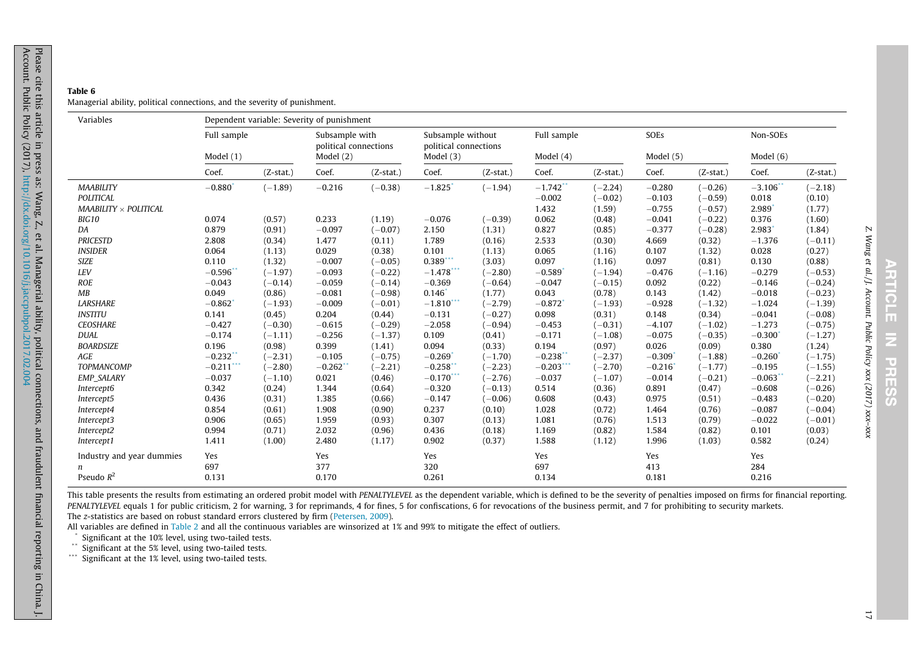### <span id="page-16-0"></span>Table 6Managerial ability, political connections, and the severity of punishment.

| Variables                    | Dependent variable: Severity of punishment |             |                       |                                         |              |                                            |                        |             |             |             |             |             |  |
|------------------------------|--------------------------------------------|-------------|-----------------------|-----------------------------------------|--------------|--------------------------------------------|------------------------|-------------|-------------|-------------|-------------|-------------|--|
|                              | Full sample                                |             |                       | Subsample with<br>political connections |              | Subsample without<br>political connections |                        | Full sample |             |             | Non-SOEs    |             |  |
|                              | Model $(1)$                                |             | Model $(2)$           |                                         | Model $(3)$  |                                            | Model $(4)$            |             | Model $(5)$ |             | Model $(6)$ |             |  |
|                              | Coef.                                      | $(Z-stat.)$ | Coef.                 | $(Z-stat.)$                             | Coef.        | $(Z-stat.)$                                | Coef.                  | $(Z-stat.)$ | Coef.       | $(Z-stat.)$ | Coef.       | $(Z-stat.)$ |  |
| <b>MAABILITY</b>             | $-0.880$                                   | $(-1.89)$   | $-0.216$              | $(-0.38)$                               | $-1.825$     | $(-1.94)$                                  | $-1.742$ <sup>**</sup> | $(-2.24)$   | $-0.280$    | $(-0.26)$   | $-3.106$ ** | $(-2.18)$   |  |
| <b>POLITICAL</b>             |                                            |             |                       |                                         |              |                                            | $-0.002$               | $(-0.02)$   | $-0.103$    | $(-0.59)$   | 0.018       | (0.10)      |  |
| $MAABILITY \times POLITICAL$ |                                            |             |                       |                                         |              |                                            | 1.432                  | (1.59)      | $-0.755$    | $(-0.57)$   | 2.989       | (1.77)      |  |
| BIG10                        | 0.074                                      | (0.57)      | 0.233                 | (1.19)                                  | $-0.076$     | $(-0.39)$                                  | 0.062                  | (0.48)      | $-0.041$    | $(-0.22)$   | 0.376       | (1.60)      |  |
| DA                           | 0.879                                      | (0.91)      | $-0.097$              | $(-0.07)$                               | 2.150        | (1.31)                                     | 0.827                  | (0.85)      | $-0.377$    | $(-0.28)$   | 2.983       | (1.84)      |  |
| <b>PRICESTD</b>              | 2.808                                      | (0.34)      | 1.477                 | (0.11)                                  | 1.789        | (0.16)                                     | 2.533                  | (0.30)      | 4.669       | (0.32)      | $-1.376$    | $(-0.11)$   |  |
| <b>INSIDER</b>               | 0.064                                      | (1.13)      | 0.029                 | (0.38)                                  | 0.101        | (1.13)                                     | 0.065                  | (1.16)      | 0.107       | (1.32)      | 0.028       | (0.27)      |  |
| <b>SIZE</b>                  | 0.110                                      | (1.32)      | $-0.007$              | $(-0.05)$                               | $0.389$ ***  | (3.03)                                     | 0.097                  | (1.16)      | 0.097       | (0.81)      | 0.130       | (0.88)      |  |
| LEV                          | $-0.596$ <sup>*</sup>                      | $(-1.97)$   | $-0.093$              | $(-0.22)$                               | $-1.478$ *** | $(-2.80)$                                  | $-0.589$               | $(-1.94)$   | $-0.476$    | $(-1.16)$   | $-0.279$    | $(-0.53)$   |  |
| <b>ROE</b>                   | $-0.043$                                   | $(-0.14)$   | $-0.059$              | $(-0.14)$                               | $-0.369$     | $(-0.64)$                                  | $-0.047$               | $(-0.15)$   | 0.092       | (0.22)      | $-0.146$    | $(-0.24)$   |  |
| MB                           | 0.049                                      | (0.86)      | $-0.081$              | $(-0.98)$                               | 0.146        | (1.77)                                     | 0.043                  | (0.78)      | 0.143       | (1.42)      | $-0.018$    | $(-0.23)$   |  |
| <b>LARSHARE</b>              | $-0.862$                                   | $(-1.93)$   | $-0.009$              | $(-0.01)$                               | $-1.810***$  | $(-2.79)$                                  | $-0.872$               | $(-1.93)$   | $-0.928$    | $(-1.32)$   | $-1.024$    | $(-1.39)$   |  |
| <b>INSTITU</b>               | 0.141                                      | (0.45)      | 0.204                 | (0.44)                                  | $-0.131$     | $(-0.27)$                                  | 0.098                  | (0.31)      | 0.148       | (0.34)      | $-0.041$    | $(-0.08)$   |  |
| <b>CEOSHARE</b>              | $-0.427$                                   | $(-0.30)$   | $-0.615$              | $(-0.29)$                               | $-2.058$     | $(-0.94)$                                  | $-0.453$               | $(-0.31)$   | $-4.107$    | $(-1.02)$   | $-1.273$    | $(-0.75)$   |  |
| <b>DUAL</b>                  | $-0.174$                                   | $(-1.11)$   | $-0.256$              | $(-1.37)$                               | 0.109        | (0.41)                                     | $-0.171$               | $(-1.08)$   | $-0.075$    | $(-0.35)$   | $-0.300$    | $(-1.27)$   |  |
| <b>BOARDSIZE</b>             | 0.196                                      | (0.98)      | 0.399                 | (1.41)                                  | 0.094        | (0.33)                                     | 0.194                  | (0.97)      | 0.026       | (0.09)      | 0.380       | (1.24)      |  |
| AGE                          | $-0.232$ <sup>*</sup>                      | $(-2.31)$   | $-0.105$              | $(-0.75)$                               | $-0.269$     | $(-1.70)$                                  | $-0.238$               | $(-2.37)$   | $-0.309$    | $(-1.88)$   | $-0.260$    | $(-1.75)$   |  |
| <b>TOPMANCOMP</b>            | $-0.211$                                   | $(-2.80)$   | $-0.262$ <sup>*</sup> | $(-2.21)$                               | $-0.258$     | $(-2.23)$                                  | $-0.203$ ***           | $(-2.70)$   | $-0.216$    | $(-1.77)$   | $-0.195$    | $(-1.55)$   |  |
| EMP_SALARY                   | $-0.037$                                   | $(-1.10)$   | 0.021                 | (0.46)                                  | $-0.170$     | $(-2.76)$                                  | $-0.037$               | $(-1.07)$   | $-0.014$    | $(-0.21)$   | $-0.063$    | $(-2.21)$   |  |
| Intercept6                   | 0.342                                      | (0.24)      | 1.344                 | (0.64)                                  | $-0.320$     | $(-0.13)$                                  | 0.514                  | (0.36)      | 0.891       | (0.47)      | $-0.608$    | $(-0.26)$   |  |
| Intercept5                   | 0.436                                      | (0.31)      | 1.385                 | (0.66)                                  | $-0.147$     | $(-0.06)$                                  | 0.608                  | (0.43)      | 0.975       | (0.51)      | $-0.483$    | $(-0.20)$   |  |
| Intercept4                   | 0.854                                      | (0.61)      | 1.908                 | (0.90)                                  | 0.237        | (0.10)                                     | 1.028                  | (0.72)      | 1.464       | (0.76)      | $-0.087$    | $(-0.04)$   |  |
| Intercept3                   | 0.906                                      | (0.65)      | 1.959                 | (0.93)                                  | 0.307        | (0.13)                                     | 1.081                  | (0.76)      | 1.513       | (0.79)      | $-0.022$    | $(-0.01)$   |  |
| Intercept2                   | 0.994                                      | (0.71)      | 2.032                 | (0.96)                                  | 0.436        | (0.18)                                     | 1.169                  | (0.82)      | 1.584       | (0.82)      | 0.101       | (0.03)      |  |
| Intercept1                   | 1.411                                      | (1.00)      | 2.480                 | (1.17)                                  | 0.902        | (0.37)                                     | 1.588                  | (1.12)      | 1.996       | (1.03)      | 0.582       | (0.24)      |  |
| Industry and year dummies    | Yes                                        |             | Yes                   |                                         | Yes          |                                            | Yes                    |             | Yes         |             | Yes         |             |  |
| n                            | 697                                        |             | 377                   |                                         | 320          |                                            | 697                    |             | 413         |             | 284         |             |  |
| Pseudo $R^2$                 | 0.131                                      |             | 0.170                 |                                         | 0.261        |                                            | 0.134                  |             | 0.181       |             | 0.216       |             |  |

This table presents the results from estimating an ordered probit model with PENALTYLEVEL as the dependent variable, which is defined to be the severity of penalties imposed on firms for financial reporting. PENALTYLEVEL equals 1 for public criticism, 2 for warning, 3 for reprimands, 4 for fines, 5 for confiscations, 6 for revocations of the business permit, and 7 for prohibiting to security markets. The <sup>z</sup>-statistics are based on robust standard errors clustered by firm ([Petersen,](#page-21-0) 2009).

All variables are defined in [Table](#page-11-0) 2 and all the continuous variables are winsorized at 1% and 99% to mitigate the effect of outliers.

Significant at the 10% level, using two-tailed tests.

\*\* Significant at the 5% level, using two-tailed tests. \*\*\* Significant at the 1% level, using two-tailed tests.

Z. Wang et al. / J. Account. Public Policy xxx (2017) xxx–xxx

**RTICLE** 

 $\overline{z}$ 

**PRESSS** 

Z. Wang et al./J. Account. Public Policy xxx (2017) xxx-xxx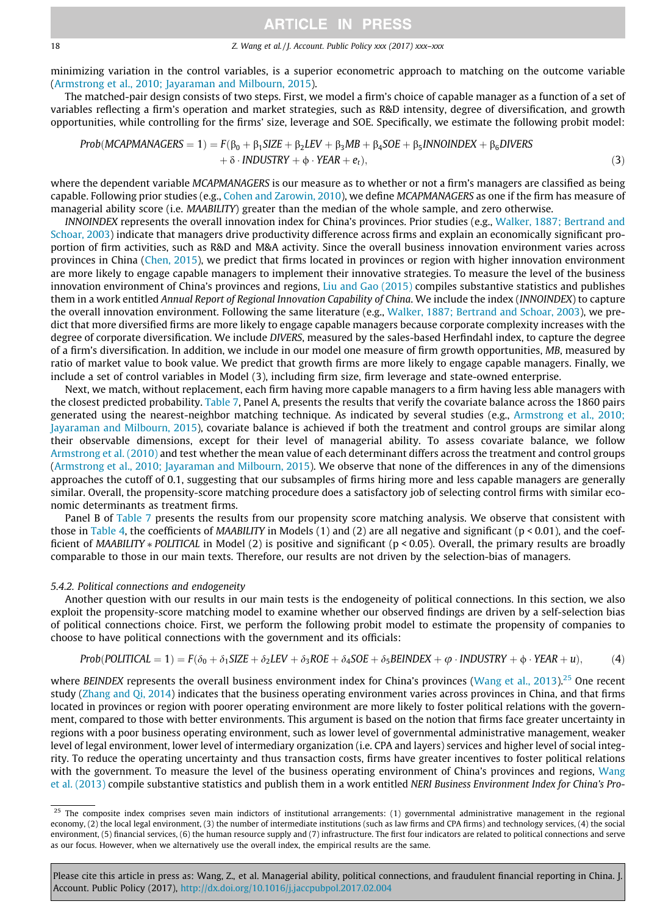### 18 18 2. Wang et al. / J. Account. Public Policy xxx (2017) xxx–xxx

minimizing variation in the control variables, is a superior econometric approach to matching on the outcome variable [\(Armstrong et al., 2010; Jayaraman and Milbourn, 2015\)](#page-19-0).

The matched-pair design consists of two steps. First, we model a firm's choice of capable manager as a function of a set of variables reflecting a firm's operation and market strategies, such as R&D intensity, degree of diversification, and growth opportunities, while controlling for the firms' size, leverage and SOE. Specifically, we estimate the following probit model:

$$
Prob(MCAPMANAGES = 1) = F(\beta_0 + \beta_1 SIZE + \beta_2 LEV + \beta_3 MB + \beta_4 SOE + \beta_5 INNOINDEX + \beta_6 DIVERS + \delta \cdot INDUSTRY + \phi \cdot YEAR + e_t),
$$
\n(3)

where the dependent variable MCAPMANAGERS is our measure as to whether or not a firm's managers are classified as being capable. Following prior studies (e.g., [Cohen and Zarowin, 2010\)](#page-20-0), we define MCAPMANAGERS as one if the firm has measure of managerial ability score (i.e. MAABILITY) greater than the median of the whole sample, and zero otherwise.

INNOINDEX represents the overall innovation index for China's provinces. Prior studies (e.g., [Walker, 1887; Bertrand and](#page-21-0) [Schoar, 2003](#page-21-0)) indicate that managers drive productivity difference across firms and explain an economically significant proportion of firm activities, such as R&D and M&A activity. Since the overall business innovation environment varies across provinces in China ([Chen, 2015](#page-21-0)), we predict that firms located in provinces or region with higher innovation environment are more likely to engage capable managers to implement their innovative strategies. To measure the level of the business innovation environment of China's provinces and regions, [Liu and Gao \(2015\)](#page-21-0) compiles substantive statistics and publishes them in a work entitled Annual Report of Regional Innovation Capability of China. We include the index (INNOINDEX) to capture the overall innovation environment. Following the same literature (e.g., [Walker, 1887; Bertrand and Schoar, 2003\)](#page-21-0), we predict that more diversified firms are more likely to engage capable managers because corporate complexity increases with the degree of corporate diversification. We include DIVERS, measured by the sales-based Herfindahl index, to capture the degree of a firm's diversification. In addition, we include in our model one measure of firm growth opportunities, MB, measured by ratio of market value to book value. We predict that growth firms are more likely to engage capable managers. Finally, we include a set of control variables in Model (3), including firm size, firm leverage and state-owned enterprise.

Next, we match, without replacement, each firm having more capable managers to a firm having less able managers with the closest predicted probability. [Table 7,](#page-18-0) Panel A, presents the results that verify the covariate balance across the 1860 pairs generated using the nearest-neighbor matching technique. As indicated by several studies (e.g., [Armstrong et al., 2010;](#page-19-0) [Jayaraman and Milbourn, 2015\)](#page-19-0), covariate balance is achieved if both the treatment and control groups are similar along their observable dimensions, except for their level of managerial ability. To assess covariate balance, we follow [Armstrong et al. \(2010\)](#page-19-0) and test whether the mean value of each determinant differs across the treatment and control groups [\(Armstrong et al., 2010; Jayaraman and Milbourn, 2015](#page-19-0)). We observe that none of the differences in any of the dimensions approaches the cutoff of 0.1, suggesting that our subsamples of firms hiring more and less capable managers are generally similar. Overall, the propensity-score matching procedure does a satisfactory job of selecting control firms with similar economic determinants as treatment firms.

Panel B of [Table 7](#page-18-0) presents the results from our propensity score matching analysis. We observe that consistent with those in [Table 4](#page-13-0), the coefficients of *MAABILITY* in Models (1) and (2) are all negative and significant ( $p < 0.01$ ), and the coefficient of MAABILITY  $*$  POLITICAL in Model (2) is positive and significant (p < 0.05). Overall, the primary results are broadly comparable to those in our main texts. Therefore, our results are not driven by the selection-bias of managers.

## 5.4.2. Political connections and endogeneity

Another question with our results in our main tests is the endogeneity of political connections. In this section, we also exploit the propensity-score matching model to examine whether our observed findings are driven by a self-selection bias of political connections choice. First, we perform the following probit model to estimate the propensity of companies to choose to have political connections with the government and its officials:

$$
Prob(POLITICAL = 1) = F(\delta_0 + \delta_1 SIZE + \delta_2 LEV + \delta_3 ROE + \delta_4 SOE + \delta_5 BEINDER + \varphi \cdot INDUSTRY + \varphi \cdot YEAR + u),
$$
\n(4)

where BEINDEX represents the overall business environment index for China's provinces ([Wang et al., 2013](#page-21-0)).<sup>25</sup> One recent study [\(Zhang and Qi, 2014\)](#page-21-0) indicates that the business operating environment varies across provinces in China, and that firms located in provinces or region with poorer operating environment are more likely to foster political relations with the government, compared to those with better environments. This argument is based on the notion that firms face greater uncertainty in regions with a poor business operating environment, such as lower level of governmental administrative management, weaker level of legal environment, lower level of intermediary organization (i.e. CPA and layers) services and higher level of social integrity. To reduce the operating uncertainty and thus transaction costs, firms have greater incentives to foster political relations with the government. To measure the level of the business operating environment of China's provinces and regions, [Wang](#page-21-0) [et al. \(2013\)](#page-21-0) compile substantive statistics and publish them in a work entitled NERI Business Environment Index for China's Pro-

The composite index comprises seven main indictors of institutional arrangements: (1) governmental administrative management in the regional economy, (2) the local legal environment, (3) the number of intermediate institutions (such as law firms and CPA firms) and technology services, (4) the social environment, (5) financial services, (6) the human resource supply and (7) infrastructure. The first four indicators are related to political connections and serve as our focus. However, when we alternatively use the overall index, the empirical results are the same.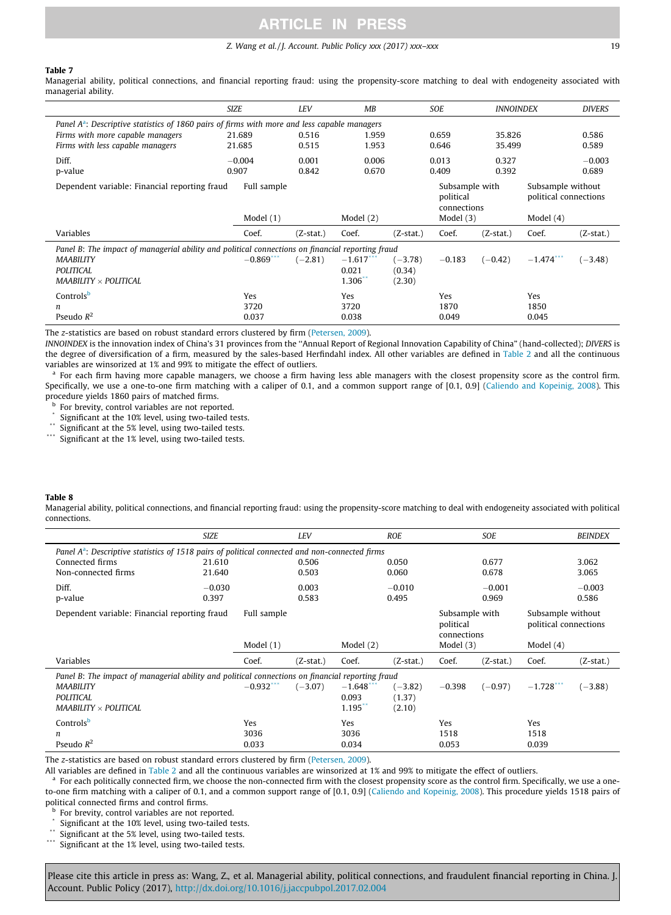### Z. Wang et al. / J. Account. Public Policy xxx (2017) xxx–xxx 19

#### <span id="page-18-0"></span>Table 7

Managerial ability, political connections, and financial reporting fraud: using the propensity-score matching to deal with endogeneity associated with managerial ability.

|                                                                                                  | <b>SIZE</b>  | LEV         | MB                     |           | <b>SOE</b>                  | <b>INNOINDEX</b> |                                            | <b>DIVERS</b> |  |  |  |
|--------------------------------------------------------------------------------------------------|--------------|-------------|------------------------|-----------|-----------------------------|------------------|--------------------------------------------|---------------|--|--|--|
| Panel $A^a$ : Descriptive statistics of 1860 pairs of firms with more and less capable managers  |              |             |                        |           |                             |                  |                                            |               |  |  |  |
| Firms with more capable managers                                                                 | 21.689       | 0.516       | 1.959                  |           | 0.659                       | 35.826           |                                            | 0.586         |  |  |  |
| Firms with less capable managers                                                                 | 21.685       | 0.515       | 1.953                  |           | 0.646                       | 35.499           |                                            | 0.589         |  |  |  |
| Diff.                                                                                            | $-0.004$     | 0.001       | 0.006                  |           | 0.013                       | 0.327            |                                            | $-0.003$      |  |  |  |
| p-value                                                                                          | 0.907        | 0.842       | 0.670                  |           | 0.409                       | 0.392            |                                            | 0.689         |  |  |  |
| Dependent variable: Financial reporting fraud                                                    | Full sample  |             |                        |           | Subsample with<br>political |                  | Subsample without<br>political connections |               |  |  |  |
|                                                                                                  |              |             |                        |           | connections                 |                  |                                            |               |  |  |  |
|                                                                                                  | Model $(1)$  |             | Model $(2)$            |           | Model $(3)$                 |                  | Model $(4)$                                |               |  |  |  |
| Variables                                                                                        | Coef.        | $(Z-stat.)$ | Coef.                  | (Z-stat.) | Coef.                       | (Z-stat.)        | Coef.                                      | (Z-stat.)     |  |  |  |
| Panel B: The impact of managerial ability and political connections on financial reporting fraud |              |             |                        |           |                             |                  |                                            |               |  |  |  |
| <b>MAABILITY</b>                                                                                 | $-0.869$ *** | $(-2.81)$   | $-1.617$ <sup>**</sup> | $(-3.78)$ | $-0.183$                    | $(-0.42)$        | $-1.474$ $\cdots$                          | $(-3.48)$     |  |  |  |
| POLITICAL                                                                                        |              |             | 0.021                  | (0.34)    |                             |                  |                                            |               |  |  |  |
| MAABILITY $\times$ POLITICAL                                                                     |              |             | 1.306                  | (2.30)    |                             |                  |                                            |               |  |  |  |
| Controls <sup>b</sup>                                                                            | Yes          |             | Yes                    |           | Yes                         |                  | Yes                                        |               |  |  |  |
| n                                                                                                | 3720         |             | 3720                   |           | 1870                        |                  | 1850                                       |               |  |  |  |
| Pseudo $R^2$                                                                                     | 0.037        |             | 0.038                  |           | 0.049                       |                  | 0.045                                      |               |  |  |  |

The z-statistics are based on robust standard errors clustered by firm ([Petersen, 2009](#page-21-0)).

INNOINDEX is the innovation index of China's 31 provinces from the ''Annual Report of Regional Innovation Capability of China" (hand-collected); DIVERS is the degree of diversification of a firm, measured by the sales-based Herfindahl index. All other variables are defined in [Table 2](#page-11-0) and all the continuous variables are winsorized at 1% and 99% to mitigate the effect of outliers.

<sup>a</sup> For each firm having more capable managers, we choose a firm having less able managers with the closest propensity score as the control firm. Specifically, we use a one-to-one firm matching with a caliper of 0.1, and a common support range of [0.1, 0.9] ([Caliendo and Kopeinig, 2008\)](#page-20-0). This procedure yields 1860 pairs of matched firms.

**b** For brevity, control variables are not reported.

 $*$  Significant at the 10% level, using two-tailed tests.

Significant at the 5% level, using two-tailed tests.

\*\*\* Significant at the 1% level, using two-tailed tests.

#### Table 8

Managerial ability, political connections, and financial reporting fraud: using the propensity-score matching to deal with endogeneity associated with political connections.

|                                                                                                   | <b>SIZE</b> |              | <b>LEV</b>  |                       | <b>ROE</b> |                                            | SOE       |                                            | <b>BEINDEX</b> |  |  |
|---------------------------------------------------------------------------------------------------|-------------|--------------|-------------|-----------------------|------------|--------------------------------------------|-----------|--------------------------------------------|----------------|--|--|
| Panel $A^a$ : Descriptive statistics of 1518 pairs of political connected and non-connected firms |             |              |             |                       |            |                                            |           |                                            |                |  |  |
| Connected firms                                                                                   | 21.610      |              | 0.506       |                       | 0.050      |                                            | 0.677     |                                            | 3.062          |  |  |
| Non-connected firms                                                                               | 21.640      |              | 0.503       |                       | 0.060      |                                            | 0.678     |                                            | 3.065          |  |  |
| Diff.                                                                                             | $-0.030$    |              | 0.003       |                       | $-0.010$   |                                            | $-0.001$  |                                            | $-0.003$       |  |  |
| p-value                                                                                           | 0.397       |              | 0.583       |                       | 0.495      |                                            | 0.969     |                                            | 0.586          |  |  |
| Dependent variable: Financial reporting fraud                                                     |             | Full sample  |             |                       |            | Subsample with<br>political<br>connections |           | Subsample without<br>political connections |                |  |  |
|                                                                                                   |             | Model (1)    |             | Model $(2)$           |            | Model $(3)$                                |           | Model $(4)$                                |                |  |  |
| Variables                                                                                         |             | Coef.        | $(Z-stat.)$ | Coef.                 | (Z-stat.)  | Coef.                                      | (Z-stat.) | Coef.                                      | $(Z-stat.)$    |  |  |
| Panel B: The impact of managerial ability and political connections on financial reporting fraud  |             |              |             |                       |            |                                            |           |                                            |                |  |  |
| <b>MAABILITY</b>                                                                                  |             | $-0.932$ *** | $(-3.07)$   | $-1.648$ <sup>*</sup> | $(-3.82)$  | $-0.398$                                   | $(-0.97)$ | $-1.728$                                   | $(-3.88)$      |  |  |
| <b>POLITICAL</b>                                                                                  |             |              |             | 0.093                 | (1.37)     |                                            |           |                                            |                |  |  |
| MAABILITY $\times$ POLITICAL                                                                      |             |              |             | 1.195                 | (2.10)     |                                            |           |                                            |                |  |  |
| Controlsb                                                                                         |             | Yes          |             | Yes                   |            | Yes                                        |           | Yes                                        |                |  |  |
| n                                                                                                 |             | 3036         |             | 3036                  |            | 1518                                       |           | 1518                                       |                |  |  |
| Pseudo $R^2$                                                                                      |             | 0.033        |             | 0.034                 |            | 0.053                                      |           | 0.039                                      |                |  |  |

The z-statistics are based on robust standard errors clustered by firm ([Petersen, 2009](#page-21-0)).

All variables are defined in [Table 2](#page-11-0) and all the continuous variables are winsorized at 1% and 99% to mitigate the effect of outliers.

<sup>a</sup> For each politically connected firm, we choose the non-connected firm with the closest propensity score as the control firm. Specifically, we use a oneto-one firm matching with a caliper of 0.1, and a common support range of [0.1, 0.9] ([Caliendo and Kopeinig, 2008](#page-20-0)). This procedure yields 1518 pairs of political connected firms and control firms.

**b** For brevity, control variables are not reported.

Significant at the 10% level, using two-tailed tests.

\*\* Significant at the 5% level, using two-tailed tests.<br>\*\*\* Significant at the 1% level, using two tailed tests.

Significant at the 1% level, using two-tailed tests.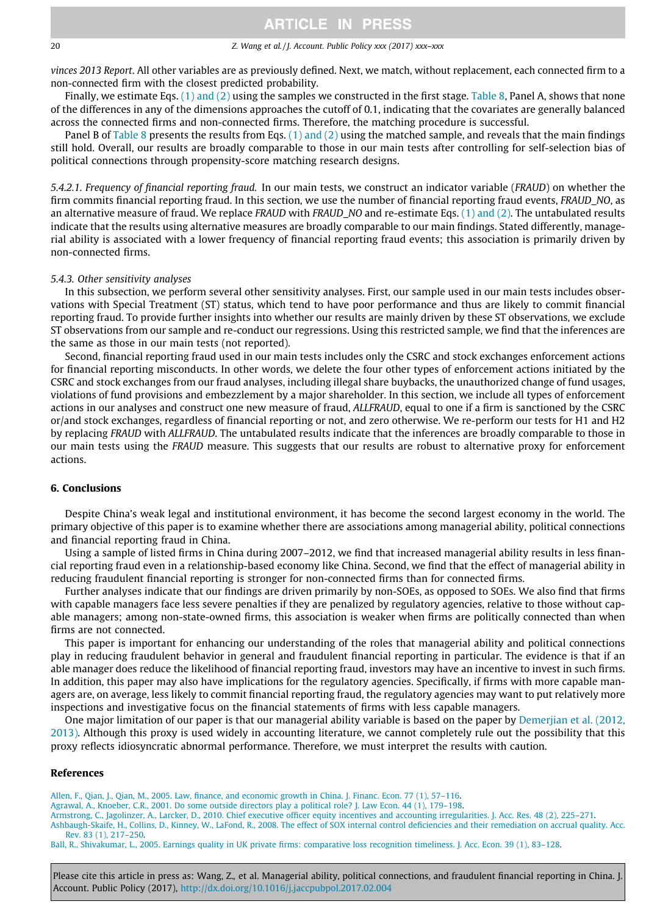#### <span id="page-19-0"></span>20 20 Z. Wang et al. / J. Account. Public Policy xxx (2017) xxx–xxx

vinces 2013 Report. All other variables are as previously defined. Next, we match, without replacement, each connected firm to a non-connected firm with the closest predicted probability.

Finally, we estimate Eqs. [\(1\) and \(2\)](#page-7-0) using the samples we constructed in the first stage. [Table 8,](#page-18-0) Panel A, shows that none of the differences in any of the dimensions approaches the cutoff of 0.1, indicating that the covariates are generally balanced across the connected firms and non-connected firms. Therefore, the matching procedure is successful.

Panel B of [Table 8](#page-18-0) presents the results from Eqs. [\(1\) and \(2\)](#page-7-0) using the matched sample, and reveals that the main findings still hold. Overall, our results are broadly comparable to those in our main tests after controlling for self-selection bias of political connections through propensity-score matching research designs.

5.4.2.1. Frequency of financial reporting fraud. In our main tests, we construct an indicator variable (FRAUD) on whether the firm commits financial reporting fraud. In this section, we use the number of financial reporting fraud events, FRAUD\_NO, as an alternative measure of fraud. We replace FRAUD with FRAUD\_NO and re-estimate Eqs. [\(1\) and \(2\)](#page-7-0). The untabulated results indicate that the results using alternative measures are broadly comparable to our main findings. Stated differently, managerial ability is associated with a lower frequency of financial reporting fraud events; this association is primarily driven by non-connected firms.

#### 5.4.3. Other sensitivity analyses

In this subsection, we perform several other sensitivity analyses. First, our sample used in our main tests includes observations with Special Treatment (ST) status, which tend to have poor performance and thus are likely to commit financial reporting fraud. To provide further insights into whether our results are mainly driven by these ST observations, we exclude ST observations from our sample and re-conduct our regressions. Using this restricted sample, we find that the inferences are the same as those in our main tests (not reported).

Second, financial reporting fraud used in our main tests includes only the CSRC and stock exchanges enforcement actions for financial reporting misconducts. In other words, we delete the four other types of enforcement actions initiated by the CSRC and stock exchanges from our fraud analyses, including illegal share buybacks, the unauthorized change of fund usages, violations of fund provisions and embezzlement by a major shareholder. In this section, we include all types of enforcement actions in our analyses and construct one new measure of fraud, ALLFRAUD, equal to one if a firm is sanctioned by the CSRC or/and stock exchanges, regardless of financial reporting or not, and zero otherwise. We re-perform our tests for H1 and H2 by replacing FRAUD with ALLFRAUD. The untabulated results indicate that the inferences are broadly comparable to those in our main tests using the FRAUD measure. This suggests that our results are robust to alternative proxy for enforcement actions.

#### 6. Conclusions

Despite China's weak legal and institutional environment, it has become the second largest economy in the world. The primary objective of this paper is to examine whether there are associations among managerial ability, political connections and financial reporting fraud in China.

Using a sample of listed firms in China during 2007–2012, we find that increased managerial ability results in less financial reporting fraud even in a relationship-based economy like China. Second, we find that the effect of managerial ability in reducing fraudulent financial reporting is stronger for non-connected firms than for connected firms.

Further analyses indicate that our findings are driven primarily by non-SOEs, as opposed to SOEs. We also find that firms with capable managers face less severe penalties if they are penalized by regulatory agencies, relative to those without capable managers; among non-state-owned firms, this association is weaker when firms are politically connected than when firms are not connected.

This paper is important for enhancing our understanding of the roles that managerial ability and political connections play in reducing fraudulent behavior in general and fraudulent financial reporting in particular. The evidence is that if an able manager does reduce the likelihood of financial reporting fraud, investors may have an incentive to invest in such firms. In addition, this paper may also have implications for the regulatory agencies. Specifically, if firms with more capable managers are, on average, less likely to commit financial reporting fraud, the regulatory agencies may want to put relatively more inspections and investigative focus on the financial statements of firms with less capable managers.

One major limitation of our paper is that our managerial ability variable is based on the paper by [Demerjian et al. \(2012,](#page-20-0) [2013\)](#page-20-0). Although this proxy is used widely in accounting literature, we cannot completely rule out the possibility that this proxy reflects idiosyncratic abnormal performance. Therefore, we must interpret the results with caution.

#### References

[Allen, F., Qian, J., Qian, M., 2005. Law, finance, and economic growth in China. J. Financ. Econ. 77 \(1\), 57–116](http://refhub.elsevier.com/S0278-4254(17)30017-0/h0005).

[Agrawal, A., Knoeber, C.R., 2001. Do some outside directors play a political role? J. Law Econ. 44 \(1\), 179–198](http://refhub.elsevier.com/S0278-4254(17)30017-0/h0010).

[Armstrong, C., Jagolinzer, A., Larcker, D., 2010. Chief executive officer equity incentives and accounting irregularities. J. Acc. Res. 48 \(2\), 225–271](http://refhub.elsevier.com/S0278-4254(17)30017-0/h0015).

[Ashbaugh-Skaife, H., Collins, D., Kinney, W., LaFond, R., 2008. The effect of SOX internal control deficiencies and their remediation on accrual quality. Acc.](http://refhub.elsevier.com/S0278-4254(17)30017-0/h0020) [Rev. 83 \(1\), 217–250](http://refhub.elsevier.com/S0278-4254(17)30017-0/h0020).

[Ball, R., Shivakumar, L., 2005. Earnings quality in UK private firms: comparative loss recognition timeliness. J. Acc. Econ. 39 \(1\), 83–128](http://refhub.elsevier.com/S0278-4254(17)30017-0/h0025).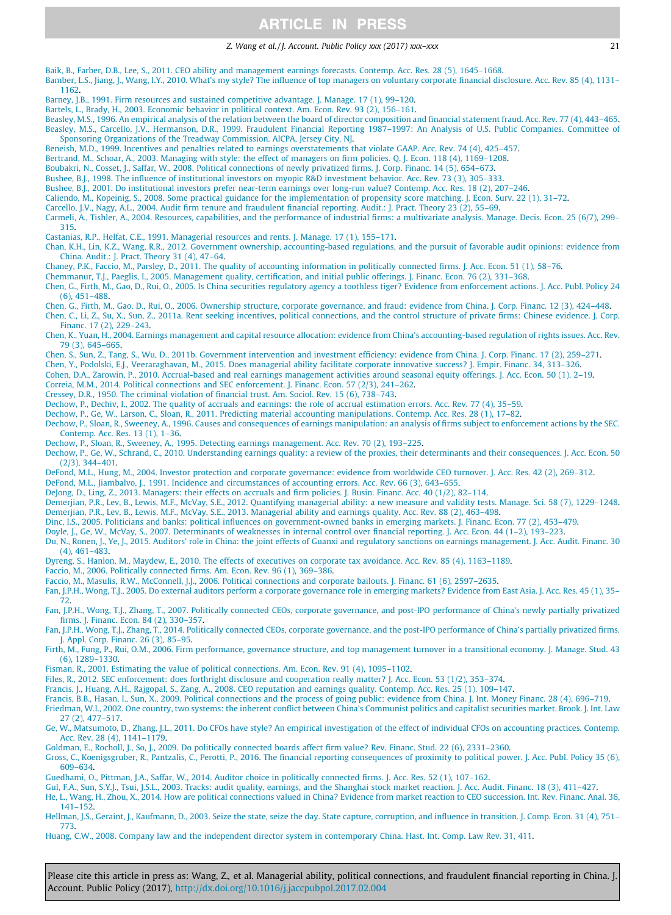#### Z. Wang et al. / J. Account. Public Policy xxx (2017) xxx–xxx 21

<span id="page-20-0"></span>[Baik, B., Farber, D.B., Lee, S., 2011. CEO ability and management earnings forecasts. Contemp. Acc. Res. 28 \(5\), 1645–1668](http://refhub.elsevier.com/S0278-4254(17)30017-0/h0030). [Bamber, L.S., Jiang, J., Wang, I.Y., 2010. What's my style? The influence of top managers on voluntary corporate financial disclosure. Acc. Rev. 85 \(4\),](http://refhub.elsevier.com/S0278-4254(17)30017-0/h0035) 1131– [1162](http://refhub.elsevier.com/S0278-4254(17)30017-0/h0035). [Barney, J.B., 1991. Firm resources and sustained competitive advantage. J. Manage. 17 \(1\), 99–120.](http://refhub.elsevier.com/S0278-4254(17)30017-0/h0040) [Bartels, L., Brady, H., 2003. Economic behavior in political context. Am. Econ. Rev. 93 \(2\), 156–161.](http://refhub.elsevier.com/S0278-4254(17)30017-0/h0045) [Beasley, M.S., 1996. An empirical analysis of the relation between the board of director composition and financial statement fraud. Acc. Rev. 77 \(4\), 443–465.](http://refhub.elsevier.com/S0278-4254(17)30017-0/h0050) [Beasley, M.S., Carcello, J.V., Hermanson, D.R., 1999. Fraudulent Financial Reporting 1987–1997: An Analysis of U.S. Public Companies. Committee of](http://refhub.elsevier.com/S0278-4254(17)30017-0/h0055) [Sponsoring Organizations of the Treadway Commission. AICPA, Jersey City, NJ.](http://refhub.elsevier.com/S0278-4254(17)30017-0/h0055) [Beneish, M.D., 1999. Incentives and penalties related to earnings overstatements that violate GAAP. Acc. Rev. 74 \(4\), 425–457](http://refhub.elsevier.com/S0278-4254(17)30017-0/h0060). [Bertrand, M., Schoar, A., 2003. Managing with style: the effect of managers on firm policies. Q. J. Econ. 118 \(4\), 1169–1208.](http://refhub.elsevier.com/S0278-4254(17)30017-0/h0065) [Boubakri, N., Cosset, J., Saffar, W., 2008. Political connections of newly privatized firms. J. Corp. Financ. 14 \(5\), 654–673.](http://refhub.elsevier.com/S0278-4254(17)30017-0/h0070) [Bushee, B.J., 1998. The influence of institutional investors on myopic R&D investment behavior. Acc. Rev. 73 \(3\), 305–333.](http://refhub.elsevier.com/S0278-4254(17)30017-0/h0075) [Bushee, B.J., 2001. Do institutional investors prefer near-term earnings over long-run value? Contemp. Acc. Res. 18 \(2\), 207–246](http://refhub.elsevier.com/S0278-4254(17)30017-0/h0080). [Caliendo, M., Kopeinig, S., 2008. Some practical guidance for the implementation of propensity score matching. J. Econ. Surv. 22 \(1\), 31–72](http://refhub.elsevier.com/S0278-4254(17)30017-0/h0085). [Carcello, J.V., Nagy, A.L., 2004. Audit firm tenure and fraudulent financial reporting. Audit.: J. Pract. Theory 23 \(2\), 55–69.](http://refhub.elsevier.com/S0278-4254(17)30017-0/h0090) [Carmeli, A., Tishler, A., 2004. Resources, capabilities, and the performance of industrial firms: a multivariate analysis. Manage. Decis. Econ. 25 \(6/7\), 299–](http://refhub.elsevier.com/S0278-4254(17)30017-0/h0095) [315](http://refhub.elsevier.com/S0278-4254(17)30017-0/h0095). [Castanias, R.P., Helfat, C.E., 1991. Managerial resources and rents. J. Manage. 17 \(1\), 155–171](http://refhub.elsevier.com/S0278-4254(17)30017-0/h0100). [Chan, K.H., Lin, K.Z., Wang, R.R., 2012. Government ownership, accounting-based regulations, and the pursuit of favorable audit opinions: evidence from](http://refhub.elsevier.com/S0278-4254(17)30017-0/h0105) [China. Audit.: J. Pract. Theory 31 \(4\), 47–64](http://refhub.elsevier.com/S0278-4254(17)30017-0/h0105). [Chaney, P.K., Faccio, M., Parsley, D., 2011. The quality of accounting information in politically connected firms. J. Acc. Econ. 51 \(1\), 58–76](http://refhub.elsevier.com/S0278-4254(17)30017-0/h0110). [Chemmanur, T.J., Paeglis, I., 2005. Management quality, certification, and initial public offerings. J. Financ. Econ. 76 \(2\), 331–368](http://refhub.elsevier.com/S0278-4254(17)30017-0/h0115). [Chen, G., Firth, M., Gao, D., Rui, O., 2005. Is China securities regulatory agency a toothless tiger? Evidence from enforcement actions. J. Acc. Publ.](http://refhub.elsevier.com/S0278-4254(17)30017-0/h0120) Policy 24 [\(6\), 451–488.](http://refhub.elsevier.com/S0278-4254(17)30017-0/h0120) [Chen, G., Firth, M., Gao, D., Rui, O., 2006. Ownership structure, corporate governance, and fraud: evidence from China. J. Corp. Financ. 12 \(3\), 424–448.](http://refhub.elsevier.com/S0278-4254(17)30017-0/h0125) [Chen, C., Li, Z., Su, X., Sun, Z., 2011a. Rent seeking incentives, political connections, and the control structure of private firms: Chinese evidence. J. Corp.](http://refhub.elsevier.com/S0278-4254(17)30017-0/h0130) [Financ. 17 \(2\), 229–243](http://refhub.elsevier.com/S0278-4254(17)30017-0/h0130). [Chen, K., Yuan, H., 2004. Earnings management and capital resource allocation: evidence from China's accounting-based regulation of rights issues. Acc. Rev.](http://refhub.elsevier.com/S0278-4254(17)30017-0/h0135) [79 \(3\), 645–665.](http://refhub.elsevier.com/S0278-4254(17)30017-0/h0135) [Chen, S., Sun, Z., Tang, S., Wu, D., 2011b. Government intervention and investment efficiency: evidence from China. J. Corp. Financ. 17 \(2\), 259–271.](http://refhub.elsevier.com/S0278-4254(17)30017-0/h0140) [Chen, Y., Podolski, E.J., Veeraraghavan, M., 2015. Does managerial ability facilitate corporate innovative success? J. Empir. Financ. 34, 313–326.](http://refhub.elsevier.com/S0278-4254(17)30017-0/h0150) [Cohen, D.A., Zarowin, P., 2010. Accrual-based and real earnings management activities around seasonal equity offerings. J. Acc. Econ. 50 \(1\), 2–19.](http://refhub.elsevier.com/S0278-4254(17)30017-0/h0155) [Correia, M.M., 2014. Political connections and SEC enforcement. J. Financ. Econ. 57 \(2/3\), 241–262.](http://refhub.elsevier.com/S0278-4254(17)30017-0/h0160) [Cressey, D.R., 1950. The criminal violation of financial trust. Am. Sociol. Rev. 15 \(6\), 738–743](http://refhub.elsevier.com/S0278-4254(17)30017-0/h0165). [Dechow, P., Dechiv, I., 2002. The quality of accruals and earnings: the role of accrual estimation errors. Acc. Rev. 77 \(4\), 35–59.](http://refhub.elsevier.com/S0278-4254(17)30017-0/h0170) [Dechow, P., Ge, W., Larson, C., Sloan, R., 2011. Predicting material accounting manipulations. Contemp. Acc. Res. 28 \(1\), 17–82.](http://refhub.elsevier.com/S0278-4254(17)30017-0/h0175) [Dechow, P., Sloan, R., Sweeney, A., 1996. Causes and consequences of earnings manipulation: an analysis of firms subject to enforcement actions by the](http://refhub.elsevier.com/S0278-4254(17)30017-0/h0180) SEC. [Contemp. Acc. Res. 13 \(1\), 1–36.](http://refhub.elsevier.com/S0278-4254(17)30017-0/h0180) [Dechow, P., Sloan, R., Sweeney, A., 1995. Detecting earnings management. Acc. Rev. 70 \(2\), 193–225](http://refhub.elsevier.com/S0278-4254(17)30017-0/h0185). [Dechow, P., Ge, W., Schrand, C., 2010. Understanding earnings quality: a review of the proxies, their determinants and their consequences. J. Acc. Econ. 50](http://refhub.elsevier.com/S0278-4254(17)30017-0/h0190) [\(2/3\), 344–401.](http://refhub.elsevier.com/S0278-4254(17)30017-0/h0190) [DeFond, M.L., Hung, M., 2004. Investor protection and corporate governance: evidence from worldwide CEO turnover. J. Acc. Res. 42 \(2\), 269–312](http://refhub.elsevier.com/S0278-4254(17)30017-0/h0195). [DeFond, M.L., Jiambalvo, J., 1991. Incidence and circumstances of accounting errors. Acc. Rev. 66 \(3\), 643–655.](http://refhub.elsevier.com/S0278-4254(17)30017-0/h0200) [DeJong, D., Ling, Z., 2013. Managers: their effects on accruals and firm policies. J. Busin. Financ. Acc. 40 \(1/2\), 82–114.](http://refhub.elsevier.com/S0278-4254(17)30017-0/h0205) [Demerjian, P.R., Lev, B., Lewis, M.F., McVay, S.E., 2012. Quantifying managerial ability: a new measure and validity tests. Manage. Sci. 58 \(7\), 1229–1248.](http://refhub.elsevier.com/S0278-4254(17)30017-0/h0210) [Demerjian, P.R., Lev, B., Lewis, M.F., McVay, S.E., 2013. Managerial ability and earnings quality. Acc. Rev. 88 \(2\), 463–498.](http://refhub.elsevier.com/S0278-4254(17)30017-0/h0215) [Dinc, I.S., 2005. Politicians and banks: political influences on government-owned banks in emerging markets. J. Financ. Econ. 77 \(2\), 453–479](http://refhub.elsevier.com/S0278-4254(17)30017-0/h0220). [Doyle, J., Ge, W., McVay, S., 2007. Determinants of weaknesses in internal control over financial reporting. J. Acc. Econ. 44 \(1–2\), 193–223](http://refhub.elsevier.com/S0278-4254(17)30017-0/h0225). [Du, N., Ronen, J., Ye, J., 2015. Auditors' role in China: the joint effects of Guanxi and regulatory sanctions on earnings management. J. Acc. Audit. Financ. 30](http://refhub.elsevier.com/S0278-4254(17)30017-0/h0230) [\(4\), 461–483.](http://refhub.elsevier.com/S0278-4254(17)30017-0/h0230) [Dyreng, S., Hanlon, M., Maydew, E., 2010. The effects of executives on corporate tax avoidance. Acc. Rev. 85 \(4\), 1163–1189](http://refhub.elsevier.com/S0278-4254(17)30017-0/h0235). [Faccio, M., 2006. Politically connected firms. Am. Econ. Rev. 96 \(1\), 369–386.](http://refhub.elsevier.com/S0278-4254(17)30017-0/h0240) Faccio, M., Masulis, R.W., McConnell, J.J., 2006. Political connections and corporate bailouts. J. Financ. 61 (6), 2597-2635. [Fan, J.P.H., Wong, T.J., 2005. Do external auditors perform a corporate governance role in emerging markets? Evidence from East Asia. J. Acc. Res. 45 \(1\), 35–](http://refhub.elsevier.com/S0278-4254(17)30017-0/h0250) [72](http://refhub.elsevier.com/S0278-4254(17)30017-0/h0250). [Fan, J.P.H., Wong, T.J., Zhang, T., 2007. Politically connected CEOs, corporate governance, and post-IPO performance of China's newly partially privatized](http://refhub.elsevier.com/S0278-4254(17)30017-0/h0255) [firms. J. Financ. Econ. 84 \(2\), 330–357](http://refhub.elsevier.com/S0278-4254(17)30017-0/h0255). [Fan, J.P.H., Wong, T.J., Zhang, T., 2014. Politically connected CEOs, corporate governance, and the post-IPO performance of China's partially privatized firms.](http://refhub.elsevier.com/S0278-4254(17)30017-0/h0260) [J. Appl. Corp. Financ. 26 \(3\), 85–95.](http://refhub.elsevier.com/S0278-4254(17)30017-0/h0260) [Firth, M., Fung, P., Rui, O.M., 2006. Firm performance, governance structure, and top management turnover in a transitional economy. J. Manage. Stud. 43](http://refhub.elsevier.com/S0278-4254(17)30017-0/h0265) [\(6\), 1289–1330](http://refhub.elsevier.com/S0278-4254(17)30017-0/h0265). [Fisman, R., 2001. Estimating the value of political connections. Am. Econ. Rev. 91 \(4\), 1095–1102.](http://refhub.elsevier.com/S0278-4254(17)30017-0/h0270) [Files, R., 2012. SEC enforcement: does forthright disclosure and cooperation really matter? J. Acc. Econ. 53 \(1/2\), 353–374](http://refhub.elsevier.com/S0278-4254(17)30017-0/h0275). [Francis, J., Huang, A.H., Rajgopal, S., Zang, A., 2008. CEO reputation and earnings quality. Contemp. Acc. Res. 25 \(1\), 109–147.](http://refhub.elsevier.com/S0278-4254(17)30017-0/h0280) [Francis, B.B., Hasan, I., Sun, X., 2009. Political connections and the process of going public: evidence from China. J. Int. Money Financ. 28 \(4\), 696–719.](http://refhub.elsevier.com/S0278-4254(17)30017-0/h0285) [Friedman, W.I., 2002. One country, two systems: the inherent conflict between China's Communist politics and capitalist securities market. Brook. J. Int. Law](http://refhub.elsevier.com/S0278-4254(17)30017-0/h0290) [27 \(2\), 477–517.](http://refhub.elsevier.com/S0278-4254(17)30017-0/h0290) [Ge, W., Matsumoto, D., Zhang, J.L., 2011. Do CFOs have style? An empirical investigation of the effect of individual CFOs on accounting practices. Contemp.](http://refhub.elsevier.com/S0278-4254(17)30017-0/h0295) [Acc. Rev. 28 \(4\), 1141–1179](http://refhub.elsevier.com/S0278-4254(17)30017-0/h0295). [Goldman, E., Rocholl, J., So, J., 2009. Do politically connected boards affect firm value? Rev. Financ. Stud. 22 \(6\), 2331–2360](http://refhub.elsevier.com/S0278-4254(17)30017-0/h0300). [Gross, C., Koenigsgruber, R., Pantzalis, C., Perotti, P., 2016. The financial reporting consequences of proximity to political power. J. Acc. Publ. Policy 35 \(6\),](http://refhub.elsevier.com/S0278-4254(17)30017-0/h9000) [609–634](http://refhub.elsevier.com/S0278-4254(17)30017-0/h9000). [Guedhami, O., Pittman, J.A., Saffar, W., 2014. Auditor choice in politically connected firms. J. Acc. Res. 52 \(1\), 107–162](http://refhub.elsevier.com/S0278-4254(17)30017-0/h0310). [Gul, F.A., Sun, S.Y.J., Tsui, J.S.L., 2003. Tracks: audit quality, earnings, and the Shanghai stock market reaction. J. Acc. Audit. Financ. 18 \(3\), 411–427.](http://refhub.elsevier.com/S0278-4254(17)30017-0/h0315) [He, L., Wang, H., Zhou, X., 2014. How are political connections valued in China? Evidence from market reaction to CEO succession. Int. Rev. Financ. Anal. 36,](http://refhub.elsevier.com/S0278-4254(17)30017-0/h0320) [141–152.](http://refhub.elsevier.com/S0278-4254(17)30017-0/h0320) [Hellman, J.S., Geraint, J., Kaufmann, D., 2003. Seize the state, seize the day. State capture, corruption, and influence in transition. J. Comp. Econ.](http://refhub.elsevier.com/S0278-4254(17)30017-0/h0325) 31 (4), 751– [773](http://refhub.elsevier.com/S0278-4254(17)30017-0/h0325).

[Huang, C.W., 2008. Company law and the independent director system in contemporary China. Hast. Int. Comp. Law Rev. 31, 411.](http://refhub.elsevier.com/S0278-4254(17)30017-0/h0330)